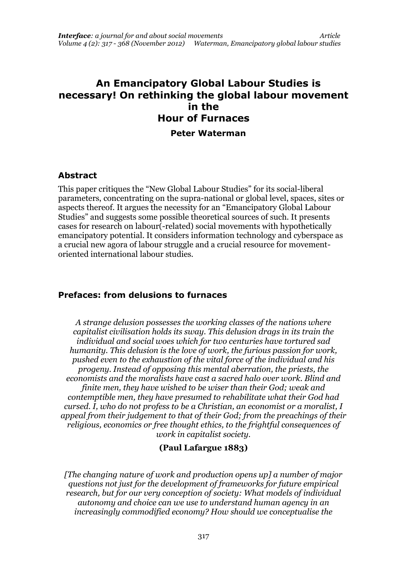# **An Emancipatory Global Labour Studies is necessary! On rethinking the global labour movement in the Hour of Furnaces Peter Waterman**

### **Abstract**

This paper critiques the "New Global Labour Studies" for its social-liberal parameters, concentrating on the supra-national or global level, spaces, sites or aspects thereof. It argues the necessity for an "Emancipatory Global Labour Studies" and suggests some possible theoretical sources of such. It presents cases for research on labour(-related) social movements with hypothetically emancipatory potential. It considers information technology and cyberspace as a crucial new agora of labour struggle and a crucial resource for movementoriented international labour studies.

### **Prefaces: from delusions to furnaces**

*A strange delusion possesses the working classes of the nations where capitalist civilisation holds its sway. This delusion drags in its train the individual and social woes which for two centuries have tortured sad humanity. This delusion is the love of work, the furious passion for work, pushed even to the exhaustion of the vital force of the individual and his progeny. Instead of opposing this mental aberration, the priests, the economists and the moralists have cast a sacred halo over work. Blind and finite men, they have wished to be wiser than their God; weak and contemptible men, they have presumed to rehabilitate what their God had cursed. I, who do not profess to be a Christian, an economist or a moralist, I appeal from their judgement to that of their God; from the preachings of their religious, economics or free thought ethics, to the frightful consequences of work in capitalist society.*

### **(Paul Lafargue 1883)**

*[The changing nature of work and production opens up] a number of major questions not just for the development of frameworks for future empirical research, but for our very conception of society: What models of individual autonomy and choice can we use to understand human agency in an increasingly commodified economy? How should we conceptualise the*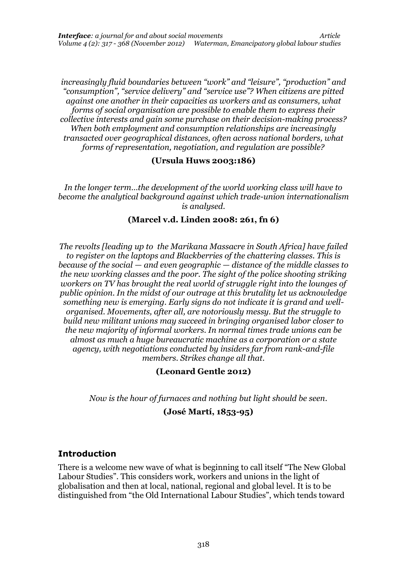*increasingly fluid boundaries between "work" and "leisure", "production" and "consumption", "service delivery" and "service use"? When citizens are pitted against one another in their capacities as workers and as consumers, what forms of social organisation are possible to enable them to express their collective interests and gain some purchase on their decision-making process? When both employment and consumption relationships are increasingly transacted over geographical distances, often across national borders, what forms of representation, negotiation, and regulation are possible?*

#### **(Ursula Huws 2003:186)**

In the longer term...the development of the world working class will have to *become the analytical background against which trade-union internationalism is analysed.*

#### **(Marcel v.d. Linden 2008: 261, fn 6)**

*The revolts [leading up to the Marikana Massacre in South Africa] have failed to register on the laptops and Blackberries of the chattering classes. This is because of the social — and even geographic — distance of the middle classes to the new working classes and the poor. The sight of the police shooting striking workers on TV has brought the real world of struggle right into the lounges of public opinion. In the midst of our outrage at this brutality let us acknowledge something new is emerging. Early signs do not indicate it is grand and wellorganised. Movements, after all, are notoriously messy. But the struggle to build new militant unions may succeed in bringing organised labor closer to the new majority of informal workers. In normal times trade unions can be almost as much a huge bureaucratic machine as a corporation or a state agency, with negotiations conducted by insiders far from rank-and-file members. Strikes change all that.*

### **(Leonard Gentle 2012)**

*Now is the hour of furnaces and nothing but light should be seen.* 

### **(José Martí, 1853-95)**

## **Introduction**

There is a welcome new wave of what is beginning to call itself "The New Global Labour Studies". This considers work, workers and unions in the light of globalisation and then at local, national, regional and global level. It is to be distinguished from "the Old International Labour Studies", which tends toward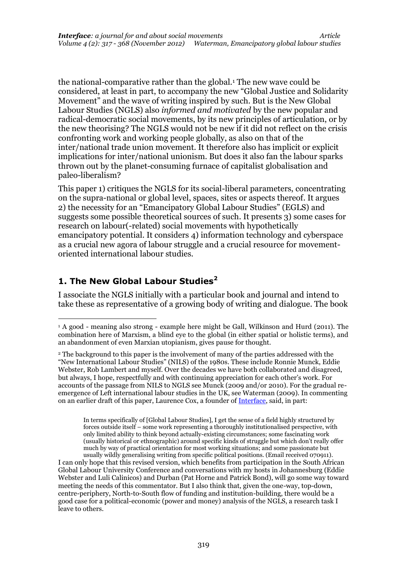the national-comparative rather than the global.<sup>1</sup> The new wave could be considered, at least in part, to accompany the new "Global Justice and Solidarity Movement" and the wave of writing inspired by such. But is the New Global Labour Studies (NGLS) also *informed and motivated* by the new popular and radical-democratic social movements, by its new principles of articulation, or by the new theorising? The NGLS would not be new if it did not reflect on the crisis confronting work and working people globally, as also on that of the inter/national trade union movement. It therefore also has implicit or explicit implications for inter/national unionism. But does it also fan the labour sparks thrown out by the planet-consuming furnace of capitalist globalisation and paleo-liberalism?

This paper 1) critiques the NGLS for its social-liberal parameters, concentrating on the supra-national or global level, spaces, sites or aspects thereof. It argues 2) the necessity for an "Emancipatory Global Labour Studies" (EGLS) and suggests some possible theoretical sources of such. It presents 3) some cases for research on labour(-related) social movements with hypothetically emancipatory potential. It considers 4) information technology and cyberspace as a crucial new agora of labour struggle and a crucial resource for movementoriented international labour studies.

## **1. The New Global Labour Studies<sup>2</sup>**

.

I associate the NGLS initially with a particular book and journal and intend to take these as representative of a growing body of writing and dialogue. The book

In terms specifically of [Global Labour Studies], I get the sense of a field highly structured by forces outside itself – some work representing a thoroughly institutionalised perspective, with only limited ability to think beyond actually-existing circumstances; some fascinating work (usually historical or ethnographic) around specific kinds of struggle but which don't really offer much by way of practical orientation for most working situations; and some passionate but usually wildly generalising writing from specific political positions. (Email received 070911).

I can only hope that this revised version, which benefits from participation in the South African Global Labour University Conference and conversations with my hosts in Johannesburg (Eddie Webster and Luli Calinicos) and Durban (Pat Horne and Patrick Bond), will go some way toward meeting the needs of this commentator. But I also think that, given the one-way, top-down, centre-periphery, North-to-South flow of funding and institution-building, there would be a good case for a political-economic (power and money) analysis of the NGLS, a research task I leave to others.

<sup>1</sup> A good - meaning also strong - example here might be Gall, Wilkinson and Hurd (2011). The combination here of Marxism, a blind eye to the global (in either spatial or holistic terms), and an abandonment of even Marxian utopianism, gives pause for thought.

<sup>2</sup> The background to this paper is the involvement of many of the parties addressed with the "New International Labour Studies" (NILS) of the 1980s. These include Ronnie Munck, Eddie Webster, Rob Lambert and myself. Over the decades we have both collaborated and disagreed, but always, I hope, respectfully and with continuing appreciation for each other's work. For accounts of the passage from NILS to NGLS see Munck (2009 and/or 2010). For the gradual reemergence of Left international labour studies in the UK, see Waterman (2009). In commenting on an earlier draft of this paper, Laurence Cox, a founder of [Interface,](http://www.interfacejournal.net/) said, in part: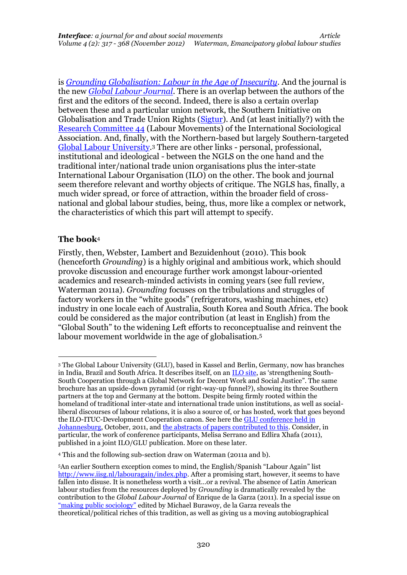is *[Grounding Globalisation: Labour in the Age of Insecurity](http://www.amazon.com/Grounding-Globalization-Labour-Insecurity-Antipode/dp/140512914X#reader_140512914X)*. And the journal is the new *[Global Labour Journal](http://digitalcommons.mcmaster.ca/globallabour)*. There is an overlap between the authors of the first and the editors of the second. Indeed, there is also a certain overlap between these and a particular union network, the Southern Initiative on Globalisation and Trade Union Rights [\(Sigtur\)](http://www.sigtur.com/). And (at least initially?) with the [Research Committee 44](http://www.isa-sociology.org/rc44.htm) (Labour Movements) of the International Sociological Association. And, finally, with the Northern-based but largely Southern-targeted [Global Labour University.](http://www.global-labour-university.org/4.html) <sup>3</sup> There are other links - personal, professional, institutional and ideological - between the NGLS on the one hand and the traditional inter/national trade union organisations plus the inter-state International Labour Organisation (ILO) on the other. The book and journal seem therefore relevant and worthy objects of critique. The NGLS has, finally, a much wider spread, or force of attraction, within the broader field of crossnational and global labour studies, being, thus, more like a complex or network, the characteristics of which this part will attempt to specify.

#### **The book**<sup>4</sup>

<u>.</u>

Firstly, then, Webster, Lambert and Bezuidenhout (2010). This book (henceforth *Grounding*) is a highly original and ambitious work, which should provoke discussion and encourage further work amongst labour-oriented academics and research-minded activists in coming years (see full review, Waterman 2011a). *Grounding* focuses on the tribulations and struggles of factory workers in the "white goods" (refrigerators, washing machines, etc) industry in one locale each of Australia, South Korea and South Africa. The book could be considered as the major contribution (at least in English) from the "Global South" to the widening Left efforts to reconceptualise and reinvent the labour movement worldwide in the age of globalisation.<sup>5</sup>

<sup>3</sup> The Global Labour University (GLU), based in Kassel and Berlin, Germany, now has branches in India, Brazil and South Africa. It describes itself, on an [ILO site](http://www.ilo.org/wcmsp5/groups/public/---ed_dialogue/---actrav/documents/publication/wcms_146692.pdf), as 'strengthening South-South Cooperation through a Global Network for Decent Work and Social Justice". The same brochure has an upside-down pyramid (or right-way-up funnel?), showing its three Southern partners at the top and Germany at the bottom. Despite being firmly rooted within the homeland of traditional inter-state and international trade union institutions, as well as socialliberal discourses of labour relations, it is also a source of, or has hosted, work that goes beyond the ILO-ITUC-Development Cooperation canon. See here the [GLU conference held in](http://www.global-labour-university.org/259.html)  [Johannesburg,](http://www.global-labour-university.org/259.html) October, 2011, and [the abstracts of papers contributed to this.](http://www.global-labour-university.org/fileadmin/GLU_conference_2011/GLU_Conference_Reader_Sept2011.pdf) Consider, in particular, the work of conference participants, Melisa Serrano and Edlira Xhafa (2011), published in a joint ILO/GLU publication. More on these later.

<sup>4</sup> This and the following sub-section draw on Waterman (2011a and b).

<sup>5</sup>An earlier Southern exception comes to mind, the English/Spanish "Labour Again" list [http://www.iisg.nl/labouragain/index.php.](http://www.iisg.nl/labouragain/index.php) After a promising start, however, it seems to have fallen into disuse. It is nonetheless worth a visit…or a revival. The absence of Latin American labour studies from the resources deployed by *Grounding* is dramatically revealed by the contribution to the *Global Labour Journal* of Enrique de la Garza (2011). In a special issue on ["making public sociology"](http://digitalcommons.mcmaster.ca/globallabour/) edited by Michael Burawoy, de la Garza reveals the theoretical/political riches of this tradition, as well as giving us a moving autobiographical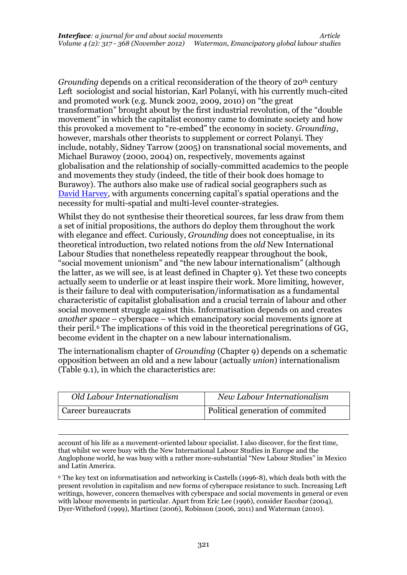*Grounding* depends on a critical reconsideration of the theory of 20<sup>th</sup> century Left sociologist and social historian, Karl Polanyi, with his currently much-cited and promoted work (e.g. Munck 2002, 2009, 2010) on "the great transformation" brought about by the first industrial revolution, of the "double movement" in which the capitalist economy came to dominate society and how this provoked a movement to "re-embed" the economy in society. *Grounding*, however, marshals other theorists to supplement or correct Polanyi. They include, notably, Sidney Tarrow (2005) on transnational social movements, and Michael Burawoy (2000, 2004) on, respectively, movements against globalisation and the relationship of socially-committed academics to the people and movements they study (indeed, the title of their book does homage to Burawoy). The authors also make use of radical social geographers such as David [Harvey,](http://en.wikipedia.org/wiki/David_Harvey_%28geographer%29) with arguments concerning capital's spatial operations and the necessity for multi-spatial and multi-level counter-strategies.

Whilst they do not synthesise their theoretical sources, far less draw from them a set of initial propositions, the authors do deploy them throughout the work with elegance and effect. Curiously, *Grounding* does not conceptualise, in its theoretical introduction, two related notions from the *old* New International Labour Studies that nonetheless repeatedly reappear throughout the book, "social movement unionism" and "the new labour internationalism" (although the latter, as we will see, is at least defined in Chapter 9). Yet these two concepts actually seem to underlie or at least inspire their work. More limiting, however, is their failure to deal with computerisation/informatisation as a fundamental characteristic of capitalist globalisation and a crucial terrain of labour and other social movement struggle against this. Informatisation depends on and creates *another space* – cyberspace – which emancipatory social movements ignore at their peril.<sup>6</sup> The implications of this void in the theoretical peregrinations of GG, become evident in the chapter on a new labour internationalism.

The internationalism chapter of *Grounding* (Chapter 9) depends on a schematic opposition between an old and a new labour (actually *union*) internationalism (Table 9.1), in which the characteristics are:

| Old Labour Internationalism | New Labour Internationalism      |
|-----------------------------|----------------------------------|
| Career bureaucrats          | Political generation of commited |

account of his life as a movement-oriented labour specialist. I also discover, for the first time, that whilst we were busy with the New International Labour Studies in Europe and the Anglophone world, he was busy with a rather more-substantial "New Labour Studies" in Mexico and Latin America.

.

<sup>6</sup> The key text on informatisation and networking is Castells (1996-8), which deals both with the present revolution in capitalism and new forms of cyberspace resistance to such. Increasing Left writings, however, concern themselves with cyberspace and social movements in general or even with labour movements in particular. Apart from Eric Lee (1996), consider Escobar (2004), Dyer-Witheford (1999), Martinez (2006), Robinson (2006, 2011) and Waterman (2010).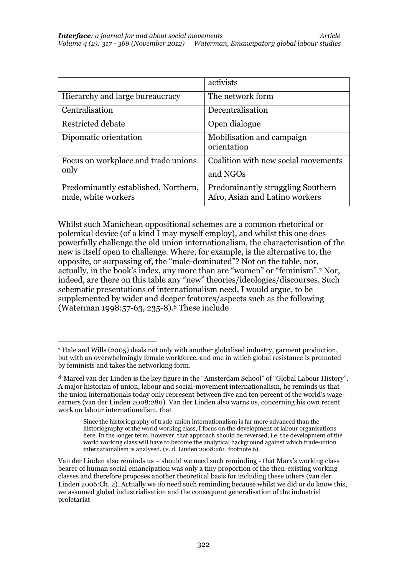|                                                             | activists                                                                  |
|-------------------------------------------------------------|----------------------------------------------------------------------------|
| Hierarchy and large bureaucracy                             | The network form                                                           |
| Centralisation                                              | Decentralisation                                                           |
| Restricted debate                                           | Open dialogue                                                              |
| Dipomatic orientation                                       | Mobilisation and campaign<br>orientation                                   |
| Focus on workplace and trade unions                         | Coalition with new social movements                                        |
| only                                                        | and NGOs                                                                   |
| Predominantly established, Northern,<br>male, white workers | <b>Predominantly struggling Southern</b><br>Afro, Asian and Latino workers |

Whilst such Manichean oppositional schemes are a common rhetorical or polemical device (of a kind I may myself employ), and whilst this one does powerfully challenge the old union internationalism, the characterisation of the new is itself open to challenge. Where, for example, is the alternative to, the opposite, or surpassing of, the "male-dominated"? Not on the table, nor, actually, in the book's index, any more than are "women" or "feminism". <sup>7</sup> Nor, indeed, are there on this table any "new" theories/ideologies/discourses. Such schematic presentations of internationalism need, I would argue, to be supplemented by wider and deeper features/aspects such as the following (Waterman 1998:57-63, 235-8).<sup>8</sup> These include

.

<sup>7</sup> Hale and Wills (2005) deals not only with another globalised industry, garment production, but with an overwhelmingly female workforce, and one in which global resistance is promoted by feminists and takes the networking form.

<sup>8</sup> Marcel van der Linden is the key figure in the "Amsterdam School" of "Global Labour History". A major historian of union, labour and social-movement internationalism, he reminds us that the union internationals today only represent between five and ten percent of the world's wageearners (van der Linden 2008:280). Van der Linden also warns us, concerning his own recent work on labour internationalism, that

Since the historiography of trade-union internationalism is far more advanced than the historiography of the world working class, I focus on the development of labour organisations here. In the longer term, however, that approach should be reversed, i.e. the development of the world working class will have to become the analytical background against which trade-union internationalism is analysed. (v. d. Linden 2008:261, footnote 6).

Van der Linden also reminds us – should we need such reminding - that Marx's working class bearer of human social emancipation was only a tiny proportion of the then-existing working classes and therefore proposes another theoretical basis for including these others (van der Linden 2006:Ch. 2). Actually we *do* need such reminding because whilst we did or do know this, we assumed global industrialisation and the consequent generalisation of the industrial proletariat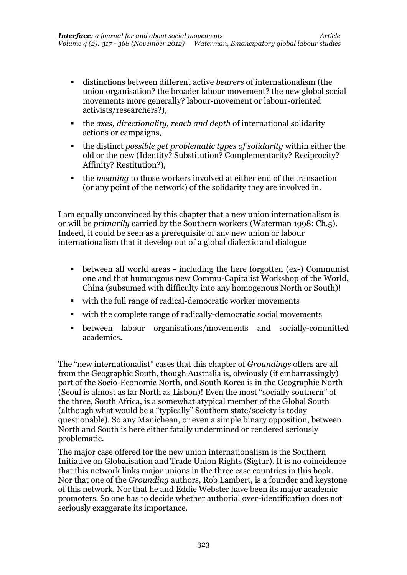- distinctions between different active *bearers* of internationalism (the union organisation? the broader labour movement? the new global social movements more generally? labour-movement or labour-oriented activists/researchers?),
- the *axes, directionality, reach and depth* of international solidarity actions or campaigns,
- the distinct *possible yet problematic types of solidarity* within either the old or the new (Identity? Substitution? Complementarity? Reciprocity? Affinity? Restitution?),
- the *meaning* to those workers involved at either end of the transaction (or any point of the network) of the solidarity they are involved in.

I am equally unconvinced by this chapter that a new union internationalism is or will be *primarily* carried by the Southern workers (Waterman 1998: Ch.5). Indeed, it could be seen as a prerequisite of any new union or labour internationalism that it develop out of a global dialectic and dialogue

- between all world areas including the here forgotten (ex-) Communist one and that humungous new Commu-Capitalist Workshop of the World, China (subsumed with difficulty into any homogenous North or South)!
- with the full range of radical-democratic worker movements
- with the complete range of radically-democratic social movements
- between labour organisations/movements and socially-committed academics.

The "new internationalist" cases that this chapter of *Groundings* offers are all from the Geographic South, though Australia is, obviously (if embarrassingly) part of the Socio-Economic North, and South Korea is in the Geographic North (Seoul is almost as far North as Lisbon)! Even the most "socially southern" of the three, South Africa, is a somewhat atypical member of the Global South (although what would be a "typically" Southern state/society is today questionable). So any Manichean, or even a simple binary opposition, between North and South is here either fatally undermined or rendered seriously problematic.

The major case offered for the new union internationalism is the Southern Initiative on Globalisation and Trade Union Rights (Sigtur). It is no coincidence that this network links major unions in the three case countries in this book. Nor that one of the *Grounding* authors, Rob Lambert, is a founder and keystone of this network. Nor that he and Eddie Webster have been its major academic promoters. So one has to decide whether authorial over-identification does not seriously exaggerate its importance.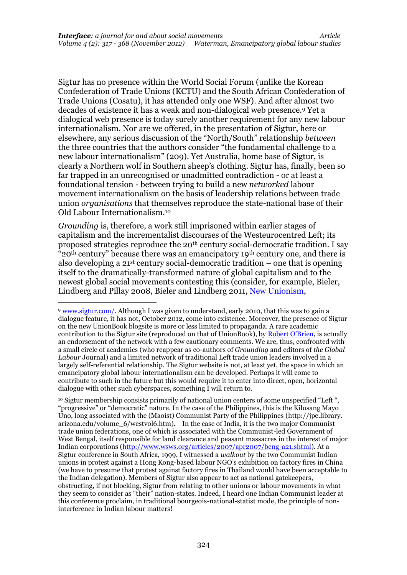Sigtur has no presence within the World Social Forum (unlike the Korean Confederation of Trade Unions (KCTU) and the South African Confederation of Trade Unions (Cosatu), it has attended only one WSF). And after almost two decades of existence it has a weak and non-dialogical web presence.<sup>9</sup> Yet a dialogical web presence is today surely another requirement for any new labour internationalism. Nor are we offered, in the presentation of Sigtur, here or elsewhere, any serious discussion of the "North/South" relationship *between* the three countries that the authors consider "the fundamental challenge to a new labour internationalism" (209). Yet Australia, home base of Sigtur, is clearly a Northern wolf in Southern sheep's clothing. Sigtur has, finally, been so far trapped in an unrecognised or unadmitted contradiction - or at least a foundational tension - between trying to build a new *networked* labour movement internationalism on the basis of leadership relations between trade union *organisations* that themselves reproduce the state-national base of their Old Labour Internationalism.<sup>10</sup>

*Grounding* is, therefore, a work still imprisoned within earlier stages of capitalism and the incrementalist discourses of the Westeurocentred Left; its proposed strategies reproduce the 20th century social-democratic tradition. I say "20th century" because there was an emancipatory 19th century one, and there is also developing a  $21<sup>st</sup>$  century social-democratic tradition – one that is opening itself to the dramatically-transformed nature of global capitalism and to the newest global social movements contesting this (consider, for example, Bieler, Lindberg and Pillay 2008, Bieler and Lindberg 2011, [New Unionism,](http://newunionism.wordpress.com/)

<u>.</u>

<sup>10</sup> Sigtur membership consists primarily of national union centers of some unspecified "Left ", "progressive" or "democratic" nature. In the case of the Philippines, this is the Kilusang Mayo Uno, long associated with the (Maoist) Communist Party of the Philippines (http://jpe.library. arizona.edu/volume\_6/westvol6.htm). In the case of India, it is the two major Communist trade union federations, one of which is associated with the Communist-led Government of West Bengal, itself responsible for land clearance and peasant massacres in the interest of major Indian corporations [\(http://www.wsws.org/articles/2007/apr2007/beng-a21.shtml\)](http://www.wsws.org/articles/2007/apr2007/beng-a21.shtml). At a Sigtur conference in South Africa, 1999, I witnessed a *walkout* by the two Communist Indian unions in protest against a Hong Kong-based labour NGO's exhibition on factory fires in China (we have to presume that protest against factory fires in Thailand would have been acceptable to the Indian delegation). Members of Sigtur also appear to act as national gatekeepers, obstructing, if not blocking, Sigtur from relating to other unions or labour movements in what they seem to consider as "their" nation-states. Indeed, I heard one Indian Communist leader at this conference proclaim, in traditional bourgeois-national-statist mode, the principle of noninterference in Indian labour matters!

<sup>9</sup> [www.sigtur.com/.](http://www.sigtur.com/) Although I was given to understand, early 2010, that this was to gain a dialogue feature, it has not, October 2012, come into existence. Moreover, the presence of Sigtur on the new UnionBook blogsite is more or less limited to propaganda. A rare academic contribution to the Sigtur site (reproduced on that of UnionBook), by [Robert O'Brien](http://www.sigtur.com/index.php/home-mainmenu-1/141-labour-globalization-and-the-attempt-to-build-transnational-community), is actually an endorsement of the network with a few cautionary comments. We are, thus, confronted with a small circle of academics (who reappear as co-authors of *Grounding* and editors of *the Global Labour* Journal) and a limited network of traditional Left trade union leaders involved in a largely self-referential relationship. The Sigtur website is not, at least yet, the space in which an emancipatory global labour internationalism can be developed. Perhaps it will come to contribute to such in the future but this would require it to enter into direct, open, horizontal dialogue with other such cyberspaces, something I will return to.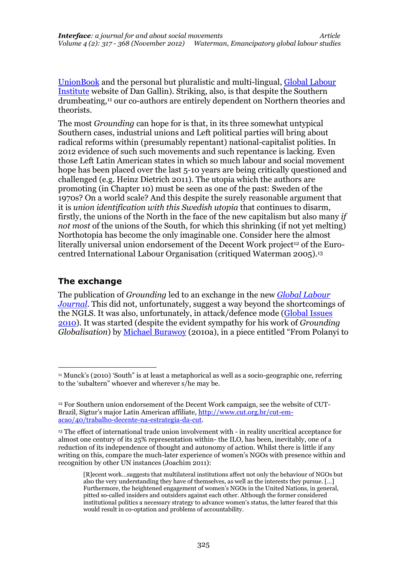[UnionBook](http://www.unionbook.org/) and the personal but pluralistic and multi-lingual, [Global Labour](http://www.global-labour.org/)  [Institute](http://www.global-labour.org/) website of Dan Gallin). Striking, also, is that despite the Southern drumbeating,<sup>11</sup> our co-authors are entirely dependent on Northern theories and theorists.

The most *Grounding* can hope for is that, in its three somewhat untypical Southern cases, industrial unions and Left political parties will bring about radical reforms within (presumably repentant) national-capitalist polities. In 2012 evidence of such such movements and such repentance is lacking. Even those Left Latin American states in which so much labour and social movement hope has been placed over the last 5-10 years are being critically questioned and challenged (e.g. Heinz Dietrich 2011). The utopia which the authors are promoting (in Chapter 10) must be seen as one of the past: Sweden of the 1970s? On a world scale? And this despite the surely reasonable argument that it is *union identification with this Swedish utopia* that continues to disarm, firstly, the unions of the North in the face of the new capitalism but also many *if not most* of the unions of the South, for which this shrinking (if not yet melting) Northotopia has become the only imaginable one. Consider here the almost literally universal union endorsement of the Decent Work project<sup>12</sup> of the Eurocentred International Labour Organisation (critiqued Waterman 2005). 13

## **The exchange**

<u>.</u>

The publication of *Grounding* led to an exchange in the new *[Global Labour](http://digitalcommons.mcmaster.ca/globallabour)  Journal*. This did not, unfortunately, suggest a way beyond the shortcomings of the NGLS. It was also, unfortunately, in attack/defence mode [\(Global Issues](http://digitalcommons.mcmaster.ca/globallabour/)  [2010\)](http://digitalcommons.mcmaster.ca/globallabour/). It was started (despite the evident sympathy for his work of *Grounding Globalisation*) by [Michael Burawoy](http://digitalcommons.mcmaster.ca/globallabour/vol1/iss2/7/) (2010a), in a piece entitled "From Polanyi to

<sup>11</sup> Munck's (2010) 'South" is at least a metaphorical as well as a socio-geographic one, referring to the 'subaltern" whoever and wherever s/he may be.

<sup>12</sup> For Southern union endorsement of the Decent Work campaign, see the website of CUT-Brazil, Sigtur's major Latin American affiliate, [http://www.cut.org.br/cut-em](http://www.cut.org.br/cut-em-acao/40/trabalho-decente-na-estrategia-da-cut)[acao/40/trabalho-decente-na-estrategia-da-cut.](http://www.cut.org.br/cut-em-acao/40/trabalho-decente-na-estrategia-da-cut)

<sup>13</sup> The effect of international trade union involvement with - in reality uncritical acceptance for almost one century of its 25% representation within- the ILO, has been, inevitably, one of a reduction of its independence of thought and autonomy of action. Whilst there is little if any writing on this, compare the much-later experience of women's NGOs with presence within and recognition by other UN instances (Joachim 2011):

<sup>[</sup>R]ecent work…suggests that multilateral institutions affect not only the behaviour of NGOs but also the very understanding they have of themselves, as well as the interests they pursue. […] Furthermore, the heightened engagement of women's NGOs in the United Nations, in general, pitted so-called insiders and outsiders against each other. Although the former considered institutional politics a necessary strategy to advance women's status, the latter feared that this would result in co-optation and problems of accountability.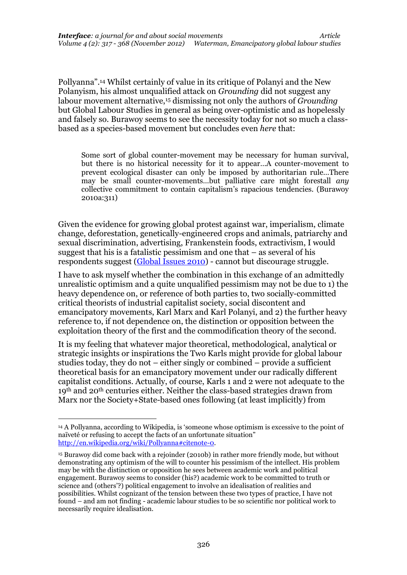Pollyanna". <sup>14</sup> Whilst certainly of value in its critique of Polanyi and the New Polanyism, his almost unqualified attack on *Grounding* did not suggest any labour movement alternative,<sup>15</sup> dismissing not only the authors of *Grounding* but Global Labour Studies in general as being over-optimistic and as hopelessly and falsely so. Burawoy seems to see the necessity today for not so much a classbased as a species-based movement but concludes even *here* that:

Some sort of global counter-movement may be necessary for human survival, but there is no historical necessity for it to appear…A counter-movement to prevent ecological disaster can only be imposed by authoritarian rule…There may be small counter-movements…but palliative care might forestall *any*  collective commitment to contain capitalism's rapacious tendencies. (Burawoy 2010a:311)

Given the evidence for growing global protest against war, imperialism, climate change, deforestation, genetically-engineered crops and animals, patriarchy and sexual discrimination, advertising, Frankenstein foods, extractivism, I would suggest that his is a fatalistic pessimism and one that – as several of his respondents suggest [\(Global Issues 2010\)](http://digitalcommons.mcmaster.ca/globallabour/vol1/iss3/) - cannot but discourage struggle.

I have to ask myself whether the combination in this exchange of an admittedly unrealistic optimism and a quite unqualified pessimism may not be due to 1) the heavy dependence on, or reference of both parties to, two socially-committed critical theorists of industrial capitalist society, social discontent and emancipatory movements, Karl Marx and Karl Polanyi, and 2) the further heavy reference to, if not dependence on, the distinction or opposition between the exploitation theory of the first and the commodification theory of the second.

It is my feeling that whatever major theoretical, methodological, analytical or strategic insights or inspirations the Two Karls might provide for global labour studies today, they do not – either singly or combined – provide a sufficient theoretical basis for an emancipatory movement under our radically different capitalist conditions. Actually, of course, Karls 1 and 2 were not adequate to the 19th and 20th centuries either. Neither the class-based strategies drawn from Marx nor the Society+State-based ones following (at least implicitly) from

.

<sup>14</sup> A Pollyanna, according to Wikipedia, is 'someone whose optimism is excessive to the point of naïveté or refusing to accept the facts of an unfortunate situation" [http://en.wikipedia.org/wiki/Pollyanna#citenote-0.](http://en.wikipedia.org/wiki/Pollyanna#citenote-0)

<sup>15</sup> Burawoy did come back with a rejoinder (2010b) in rather more friendly mode, but without demonstrating any optimism of the will to counter his pessimism of the intellect. His problem may be with the distinction or opposition he sees between academic work and political engagement. Burawoy seems to consider (his?) academic work to be committed to truth or science and (others'?) political engagement to involve an idealisation of realities and possibilities. Whilst cognizant of the tension between these two types of practice, I have not found – and am not finding - academic labour studies to be so scientific nor political work to necessarily require idealisation.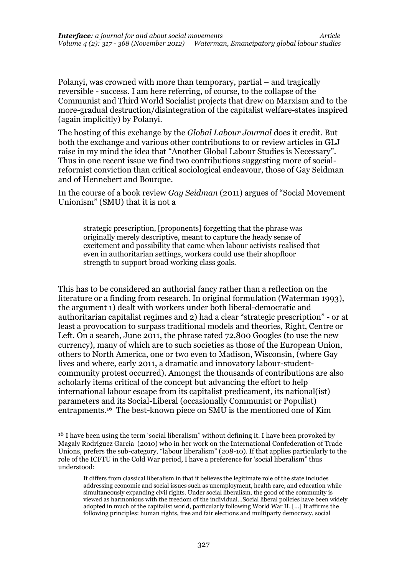Polanyi, was crowned with more than temporary, partial – and tragically reversible - success. I am here referring, of course, to the collapse of the Communist and Third World Socialist projects that drew on Marxism and to the more-gradual destruction/disintegration of the capitalist welfare-states inspired (again implicitly) by Polanyi.

The hosting of this exchange by the *Global Labour Journal* does it credit. But both the exchange and various other contributions to or review articles in GLJ raise in my mind the idea that "Another Global Labour Studies is Necessary". Thus in one recent issue we find two contributions suggesting more of socialreformist conviction than critical sociological endeavour, those of Gay Seidman and of Hennebert and Bourque.

In the course of a book review *Gay Seidman* (2011) argues of "Social Movement Unionism" (SMU) that it is not a

strategic prescription, [proponents] forgetting that the phrase was originally merely descriptive, meant to capture the heady sense of excitement and possibility that came when labour activists realised that even in authoritarian settings, workers could use their shopfloor strength to support broad working class goals.

This has to be considered an authorial fancy rather than a reflection on the literature or a finding from research. In original formulation (Waterman 1993), the argument 1) dealt with workers under both liberal-democratic and authoritarian capitalist regimes and 2) had a clear "strategic prescription" - or at least a provocation to surpass traditional models and theories, Right, Centre or Left. On a search, June 2011, the phrase rated 72,800 Googles (to use the new currency), many of which are to such societies as those of the European Union, others to North America, one or two even to Madison, Wisconsin, (where Gay lives and where, early 2011, a dramatic and innovatory labour-studentcommunity protest occurred). Amongst the thousands of contributions are also scholarly items critical of the concept but advancing the effort to help international labour escape from its capitalist predicament, its national(ist) parameters and its Social-Liberal (occasionally Communist or Populist) entrapments.<sup>16</sup> The best-known piece on SMU is the mentioned one of Kim

.

<sup>&</sup>lt;sup>16</sup> I have been using the term 'social liberalism" without defining it. I have been provoked by Magaly Rodríguez García (2010) who in her work on the International Confederation of Trade Unions, prefers the sub-category, "labour liberalism" (208-10). If that applies particularly to the role of the ICFTU in the Cold War period, I have a preference for 'social liberalism" thus understood:

It differs from [classical liberalism](http://en.wikipedia.org/wiki/Classical_liberalism) in that it believes the legitimate role of th[e state](http://en.wikipedia.org/wiki/State_%28polity%29) includes addressing economic and social issues such as unemployment, health care, and education while simultaneously expandin[g civil rights.](http://en.wikipedia.org/wiki/Civil_rights) Under social liberalism, th[e good of the community](http://en.wikipedia.org/wiki/Common_good) is viewed as harmonious with the freedom of the individual…Social liberal policies have been widely adopted in much of the capitalist world, particularly followin[g World War II](http://en.wikipedia.org/wiki/World_War_II). […] It affirms the following principles[: human rights,](http://en.wikipedia.org/wiki/Human_rights) free and fair [elections](http://en.wikipedia.org/wiki/Elections) an[d multiparty democracy,](http://en.wikipedia.org/wiki/Multi-party_system) [social](http://en.wikipedia.org/wiki/Social_justice)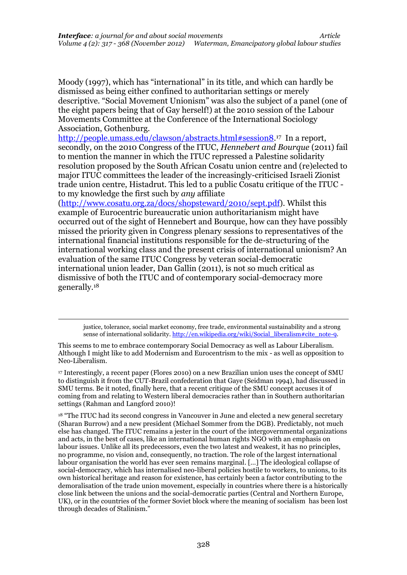Moody (1997), which has "international" in its title, and which can hardly be dismissed as being either confined to authoritarian settings or merely descriptive. "Social Movement Unionism" was also the subject of a panel (one of the eight papers being that of Gay herself!) at the 2010 session of the Labour Movements Committee at the Conference of the International Sociology Association, Gothenburg.

[http://people.umass.edu/clawson/abstracts.html#session8.](http://people.umass.edu/clawson/abstracts.html#session8)<sup>17</sup> In a report, secondly, on the 2010 Congress of the ITUC, *Hennebert and Bourque* (2011) fail to mention the manner in which the ITUC repressed a Palestine solidarity resolution proposed by the South African Cosatu union centre and (re)elected to major ITUC committees the leader of the increasingly-criticised Israeli Zionist trade union centre, Histadrut. This led to a public Cosatu critique of the ITUC to my knowledge the first such by *any* affiliate

[\(http://www.cosatu.org.za/docs/shopsteward/2010/sept.pdf\)](http://www.cosatu.org.za/docs/shopsteward/2010/sept.pdf). Whilst this example of Eurocentric bureaucratic union authoritarianism might have occurred out of the sight of Hennebert and Bourque, how can they have possibly missed the priority given in Congress plenary sessions to representatives of the international financial institutions responsible for the de-structuring of the international working class and the present crisis of international unionism? An evaluation of the same ITUC Congress by veteran social-democratic international union leader, Dan Gallin (2011), is not so much critical as dismissive of both the ITUC and of contemporary social-democracy more generally.<sup>18</sup>

justice[, tolerance,](http://en.wikipedia.org/wiki/Toleration) [social market economy,](http://en.wikipedia.org/wiki/Social_market_economy) [free trade,](http://en.wikipedia.org/wiki/Free_trade) [environmental sustainability](http://en.wikipedia.org/wiki/Sustainability) and a strong sense of international solidarity. [http://en.wikipedia.org/wiki/Social\\_liberalism#cite\\_note-9.](http://en.wikipedia.org/wiki/Social_liberalism#cite_note-9)

<u>.</u>

<sup>17</sup> Interestingly, a recent paper (Flores 2010) on a new Brazilian union uses the concept of SMU to distinguish it from the CUT-Brazil confederation that Gaye (Seidman 1994), had discussed in SMU terms. Be it noted, finally here, that a recent critique of the SMU concept accuses it of coming from and relating to Western liberal democracies rather than in Southern authoritarian settings (Rahman and Langford 2010)!

<sup>18</sup> "The ITUC had its second congress in Vancouver in June and elected a new general secretary (Sharan Burrow) and a new president (Michael Sommer from the DGB). Predictably, not much else has changed. The ITUC remains a jester in the court of the intergovernmental organizations and acts, in the best of cases, like an international human rights NGO with an emphasis on labour issues. Unlike all its predecessors, even the two latest and weakest, it has no principles, no programme, no vision and, consequently, no traction. The role of the largest international labour organisation the world has ever seen remains marginal. […] The ideological collapse of social-democracy, which has internalised neo-liberal policies hostile to workers, to unions, to its own historical heritage and reason for existence, has certainly been a factor contributing to the demoralisation of the trade union movement, especially in countries where there is a historically close link between the unions and the social-democratic parties (Central and Northern Europe, UK), or in the countries of the former Soviet block where the meaning of socialism has been lost through decades of Stalinism."

This seems to me to embrace contemporary Social Democracy as well as Labour Liberalism. Although I might like to add Modernism and Eurocentrism to the mix - as well as opposition to Neo-Liberalism.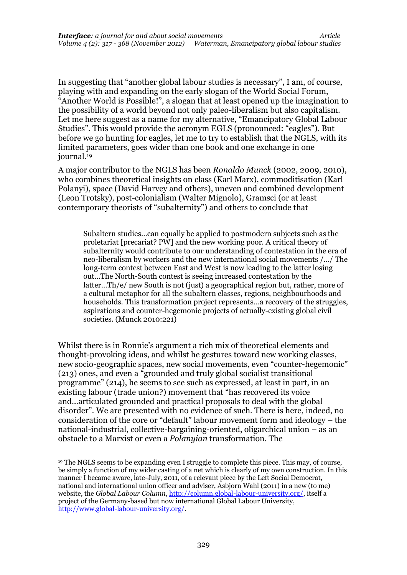In suggesting that "another global labour studies is necessary", I am, of course, playing with and expanding on the early slogan of the World Social Forum, "Another World is Possible!", a slogan that at least opened up the imagination to the possibility of a world beyond not only paleo-liberalism but also capitalism. Let me here suggest as a name for my alternative, "Emancipatory Global Labour Studies". This would provide the acronym EGLS (pronounced: "eagles"). But before we go hunting for eagles, let me to try to establish that the NGLS, with its limited parameters, goes wider than one book and one exchange in one journal.<sup>19</sup>

A major contributor to the NGLS has been *Ronaldo Munck* (2002, 2009, 2010), who combines theoretical insights on class (Karl Marx), commoditisation (Karl Polanyi), space (David Harvey and others), uneven and combined development (Leon Trotsky), post-colonialism (Walter Mignolo), Gramsci (or at least contemporary theorists of "subalternity") and others to conclude that

Subaltern studies…can equally be applied to postmodern subjects such as the proletariat [precariat? PW] and the new working poor. A critical theory of subalternity would contribute to our understanding of contestation in the era of neo-liberalism by workers and the new international social movements /…/ The long-term contest between East and West is now leading to the latter losing out…The North-South contest is seeing increased contestation by the latter…Th/e/ new South is not (just) a geographical region but, rather, more of a cultural metaphor for all the subaltern classes, regions, neighbourhoods and households. This transformation project represents…a recovery of the struggles, aspirations and counter-hegemonic projects of actually-existing global civil societies. (Munck 2010:221)

Whilst there is in Ronnie's argument a rich mix of theoretical elements and thought-provoking ideas, and whilst he gestures toward new working classes, new socio-geographic spaces, new social movements, even "counter-hegemonic" (213) ones, and even a "grounded and truly global socialist transitional programme" (214), he seems to see such as expressed, at least in part, in an existing labour (trade union?) movement that "has recovered its voice and…articulated grounded and practical proposals to deal with the global disorder". We are presented with no evidence of such. There is here, indeed, no consideration of the core or "default" labour movement form and ideology – the national-industrial, collective-bargaining-oriented, oligarchical union – as an obstacle to a Marxist or even a *Polanyian* transformation. The

<u>.</u>

<sup>&</sup>lt;sup>19</sup> The NGLS seems to be expanding even I struggle to complete this piece. This may, of course, be simply a function of my wider casting of a net which is clearly of my own construction. In this manner I became aware, late-July, 2011, of a relevant piece by the Left Social Democrat, national and international union officer and adviser, Asbjorn Wahl (2011) in a new (to me) website, the *Global Labour Column*[, http://column.global-labour-university.org/,](http://column.global-labour-university.org/) itself a project of the Germany-based but now international Global Labour University, [http://www.global-labour-university.org/.](http://www.global-labour-university.org/)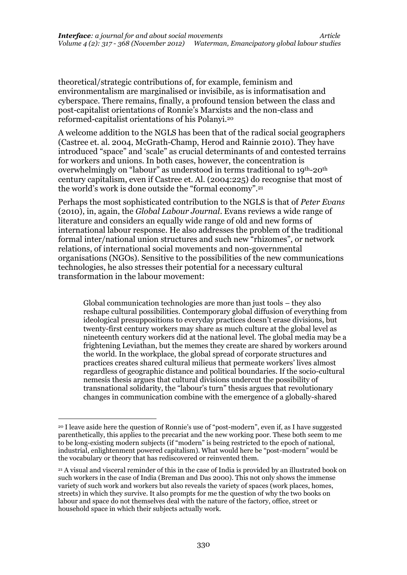theoretical/strategic contributions of, for example, feminism and environmentalism are marginalised or invisibile, as is informatisation and cyberspace. There remains, finally, a profound tension between the class and post-capitalist orientations of Ronnie's Marxists and the non-class and reformed-capitalist orientations of his Polanyi.<sup>20</sup>

A welcome addition to the NGLS has been that of the radical social geographers (Castree et. al. 2004, McGrath-Champ, Herod and Rainnie 2010). They have introduced "space" and 'scale" as crucial determinants of and contested terrains for workers and unions. In both cases, however, the concentration is overwhelmingly on "labour" as understood in terms traditional to 19th-20th century capitalism, even if Castree et. Al. (2004:225) do recognise that most of the world's work is done outside the "formal economy". 21

Perhaps the most sophisticated contribution to the NGLS is that of *Peter Evans* (2010), in, again, the *Global Labour Journal*. Evans reviews a wide range of literature and considers an equally wide range of old and new forms of international labour response. He also addresses the problem of the traditional formal inter/national union structures and such new "rhizomes", or network relations, of international social movements and non-governmental organisations (NGOs). Sensitive to the possibilities of the new communications technologies, he also stresses their potential for a necessary cultural transformation in the labour movement:

Global communication technologies are more than just tools – they also reshape cultural possibilities. Contemporary global diffusion of everything from ideological presuppositions to everyday practices doesn't erase divisions, but twenty-first century workers may share as much culture at the global level as nineteenth century workers did at the national level. The global media may be a frightening Leviathan, but the memes they create are shared by workers around the world. In the workplace, the global spread of corporate structures and practices creates shared cultural milieus that permeate workers' lives almost regardless of geographic distance and political boundaries. If the socio-cultural nemesis thesis argues that cultural divisions undercut the possibility of transnational solidarity, the "labour's turn" thesis argues that revolutionary changes in communication combine with the emergence of a globally-shared

.

<sup>20</sup> I leave aside here the question of Ronnie's use of "post-modern", even if, as I have suggested parenthetically, this applies to the precariat and the new working poor. These both seem to me to be long-existing modern subjects (if "modern" is being restricted to the epoch of national, industrial, enlightenment powered capitalism). What would here be "post-modern" would be the vocabulary or theory that has rediscovered or reinvented them.

<sup>21</sup> A visual and visceral reminder of this in the case of India is provided by an illustrated book on such workers in the case of India (Breman and Das 2000). This not only shows the immense variety of such work and workers but also reveals the variety of spaces (work places, homes, streets) in which they survive. It also prompts for me the question of why the two books on labour and space do not themselves deal with the nature of the factory, office, street or household space in which their subjects actually work.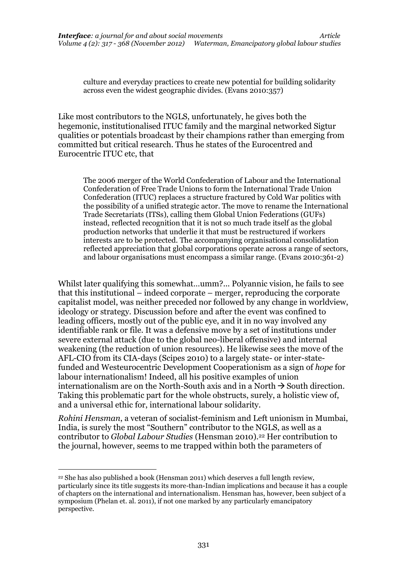culture and everyday practices to create new potential for building solidarity across even the widest geographic divides. (Evans 2010:357)

Like most contributors to the NGLS, unfortunately, he gives both the hegemonic, institutionalised ITUC family and the marginal networked Sigtur qualities or potentials broadcast by their champions rather than emerging from committed but critical research. Thus he states of the Eurocentred and Eurocentric ITUC etc, that

The 2006 merger of the World Confederation of Labour and the International Confederation of Free Trade Unions to form the International Trade Union Confederation (ITUC) replaces a structure fractured by Cold War politics with the possibility of a unified strategic actor. The move to rename the International Trade Secretariats (ITSs), calling them Global Union Federations (GUFs) instead, reflected recognition that it is not so much trade itself as the global production networks that underlie it that must be restructured if workers interests are to be protected. The accompanying organisational consolidation reflected appreciation that global corporations operate across a range of sectors, and labour organisations must encompass a similar range. (Evans 2010:361-2)

Whilst later qualifying this somewhat…umm?... Polyannic vision, he fails to see that this institutional – indeed corporate – merger, reproducing the corporate capitalist model, was neither preceded nor followed by any change in worldview, ideology or strategy. Discussion before and after the event was confined to leading officers, mostly out of the public eye, and it in no way involved any identifiable rank or file. It was a defensive move by a set of institutions under severe external attack (due to the global neo-liberal offensive) and internal weakening (the reduction of union resources). He likewise sees the move of the AFL-CIO from its CIA-days (Scipes 2010) to a largely state- or inter-statefunded and Westeurocentric Development Cooperationism as a sign of *hope* for labour internationalism! Indeed, all his positive examples of union internationalism are on the North-South axis and in a North  $\rightarrow$  South direction. Taking this problematic part for the whole obstructs, surely, a holistic view of, and a universal ethic for, international labour solidarity.

*Rohini Hensman*, a veteran of socialist-feminism and Left unionism in Mumbai, India, is surely the most "Southern" contributor to the NGLS, as well as a contributor to *Global Labour Studies* (Hensman 2010).<sup>22</sup> Her contribution to the journal, however, seems to me trapped within both the parameters of

.

<sup>22</sup> She has also published a book (Hensman 2011) which deserves a full length review, particularly since its title suggests its more-than-Indian implications and because it has a couple of chapters on the international and internationalism. Hensman has, however, been subject of a symposium (Phelan et. al. 2011), if not one marked by any particularly emancipatory perspective.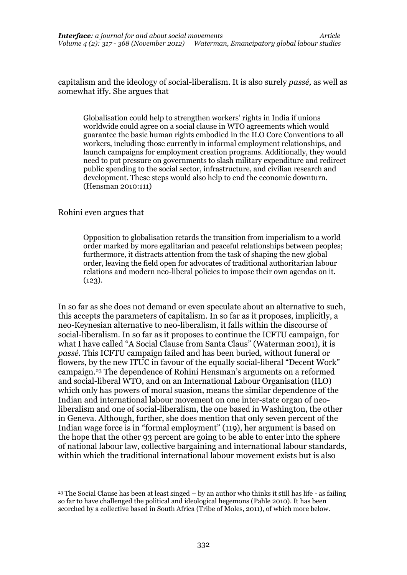capitalism and the ideology of social-liberalism. It is also surely *passé,* as well as somewhat iffy. She argues that

Globalisation could help to strengthen workers' rights in India if unions worldwide could agree on a social clause in WTO agreements which would guarantee the basic human rights embodied in the ILO Core Conventions to all workers, including those currently in informal employment relationships, and launch campaigns for employment creation programs. Additionally, they would need to put pressure on governments to slash military expenditure and redirect public spending to the social sector, infrastructure, and civilian research and development. These steps would also help to end the economic downturn. (Hensman 2010:111)

Rohini even argues that

<u>.</u>

Opposition to globalisation retards the transition from imperialism to a world order marked by more egalitarian and peaceful relationships between peoples; furthermore, it distracts attention from the task of shaping the new global order, leaving the field open for advocates of traditional authoritarian labour relations and modern neo-liberal policies to impose their own agendas on it.  $(123)$ .

In so far as she does not demand or even speculate about an alternative to such, this accepts the parameters of capitalism. In so far as it proposes, implicitly, a neo-Keynesian alternative to neo-liberalism, it falls within the discourse of social-liberalism. In so far as it proposes to continue the ICFTU campaign, for what I have called "A Social Clause from Santa Claus" (Waterman 2001), it is *passé*. This ICFTU campaign failed and has been buried, without funeral or flowers, by the new ITUC in favour of the equally social-liberal "Decent Work" campaign.<sup>23</sup> The dependence of Rohini Hensman's arguments on a reformed and social-liberal WTO, and on an International Labour Organisation (ILO) which only has powers of moral suasion, means the similar dependence of the Indian and international labour movement on one inter-state organ of neoliberalism and one of social-liberalism, the one based in Washington, the other in Geneva. Although, further, she does mention that only seven percent of the Indian wage force is in "formal employment" (119), her argument is based on the hope that the other 93 percent are going to be able to enter into the sphere of national labour law, collective bargaining and international labour standards, within which the traditional international labour movement exists but is also

<sup>23</sup> The Social Clause has been at least singed – by an author who thinks it still has life - as failing so far to have challenged the political and ideological hegemons (Pahle 2010). It has been scorched by a collective based in South Africa (Tribe of Moles, 2011), of which more below.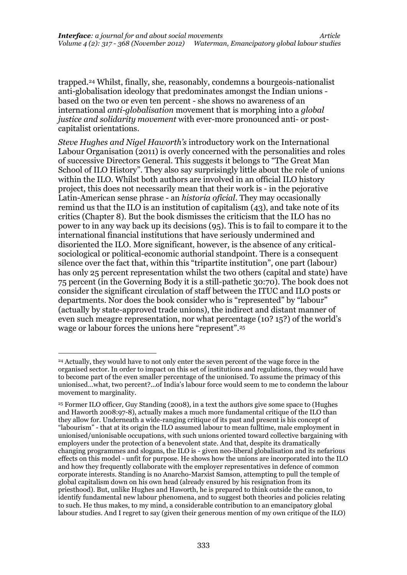trapped.<sup>24</sup> Whilst, finally, she, reasonably, condemns a bourgeois-nationalist anti-globalisation ideology that predominates amongst the Indian unions based on the two or even ten percent - she shows no awareness of an international *anti-globalisation* movement that is morphing into a *global justice and solidarity movement* with ever-more pronounced anti- or postcapitalist orientations.

*Steve Hughes and Nigel Haworth's* introductory work on the International Labour Organisation (2011) is overly concerned with the personalities and roles of successive Directors General. This suggests it belongs to "The Great Man School of ILO History". They also say surprisingly little about the role of unions within the ILO. Whilst both authors are involved in an official ILO history project, this does not necessarily mean that their work is - in the pejorative Latin-American sense phrase - an *historia oficial*. They may occasionally remind us that the ILO is an institution of capitalism (43), and take note of its critics (Chapter 8). But the book dismisses the criticism that the ILO has no power to in any way back up its decisions (95). This is to fail to compare it to the international financial institutions that have seriously undermined and disoriented the ILO. More significant, however, is the absence of any criticalsociological or political-economic authorial standpoint. There is a consequent silence over the fact that, within this "tripartite institution", one part (labour) has only 25 percent representation whilst the two others (capital and state) have 75 percent (in the Governing Body it is a still-pathetic 30:70). The book does not consider the significant circulation of staff between the ITUC and ILO posts or departments. Nor does the book consider who is "represented" by "labour" (actually by state-approved trade unions), the indirect and distant manner of even such meagre representation, nor what percentage (10? 15?) of the world's wage or labour forces the unions here "represent". 25

.

<sup>24</sup> Actually, they would have to not only enter the seven percent of the wage force in the organised sector. In order to impact on this set of institutions and regulations, they would have to become part of the even smaller percentage of the unionised. To assume the primacy of this unionised…what, two percent?...of India's labour force would seem to me to condemn the labour movement to marginality.

<sup>25</sup> Former ILO officer, Guy Standing (2008), in a text the authors give some space to (Hughes and Haworth 2008:97-8), actually makes a much more fundamental critique of the ILO than they allow for. Underneath a wide-ranging critique of its past and present is his concept of "labourism" - that at its origin the ILO assumed labour to mean fulltime, male employment in unionised/unionisable occupations, with such unions oriented toward collective bargaining with employers under the protection of a benevolent state. And that, despite its dramatically changing programmes and slogans, the ILO is - given neo-liberal globalisation and its nefarious effects on this model - unfit for purpose. He shows how the unions are incorporated into the ILO and how they frequently collaborate with the employer representatives in defence of common corporate interests. Standing is no Anarcho-Marxist Samson, attempting to pull the temple of global capitalism down on his own head (already ensured by his resignation from its priesthood). But, unlike Hughes and Haworth, he is prepared to think outside the canon, to identify fundamental new labour phenomena, and to suggest both theories and policies relating to such. He thus makes, to my mind, a considerable contribution to an emancipatory global labour studies. And I regret to say (given their generous mention of my own critique of the ILO)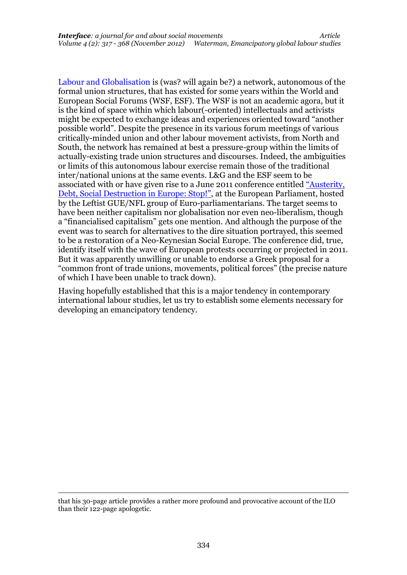[Labour and Globalisation](http://esf2008.org/registrations/labour-and-globalization/labour-and-globalization-network-debating-its) is (was? will again be?) a network, autonomous of the formal union structures, that has existed for some years within the World and European Social Forums (WSF, ESF). The WSF is not an academic agora, but it is the kind of space within which labour(-oriented) intellectuals and activists might be expected to exchange ideas and experiences oriented toward "another possible world". Despite the presence in its various forum meetings of various critically-minded union and other labour movement activists, from North and South, the network has remained at best a pressure-group within the limits of actually-existing trade union structures and discourses. Indeed, the ambiguities or limits of this autonomous labour exercise remain those of the traditional inter/national unions at the same events. L&G and the ESF seem to be associated with or have given rise to a June 2011 conference entitled "[Austerity,](http://newsportal.european-left.org/nc/english/newshome/news_archive/news_archive/zurueck/latest-news-home-4/artikel/austerity-debt-social-destruction-in-europe-stop/)  [Debt, Social Destruction in Europe: Stop!](http://newsportal.european-left.org/nc/english/newshome/news_archive/news_archive/zurueck/latest-news-home-4/artikel/austerity-debt-social-destruction-in-europe-stop/)", at the European Parliament, hosted by the Leftist GUE/NFL group of Euro-parliamentarians. The target seems to have been neither capitalism nor globalisation nor even neo-liberalism, though a "financialised capitalism" gets one mention. And although the purpose of the event was to search for alternatives to the dire situation portrayed, this seemed to be a restoration of a Neo-Keynesian Social Europe. The conference did, true, identify itself with the wave of European protests occurring or projected in 2011. But it was apparently unwilling or unable to endorse a Greek proposal for a "common front of trade unions, movements, political forces" (the precise nature of which I have been unable to track down).

Having hopefully established that this is a major tendency in contemporary international labour studies, let us try to establish some elements necessary for developing an emancipatory tendency.

.

that his 30-page article provides a rather more profound and provocative account of the ILO than their 122-page apologetic.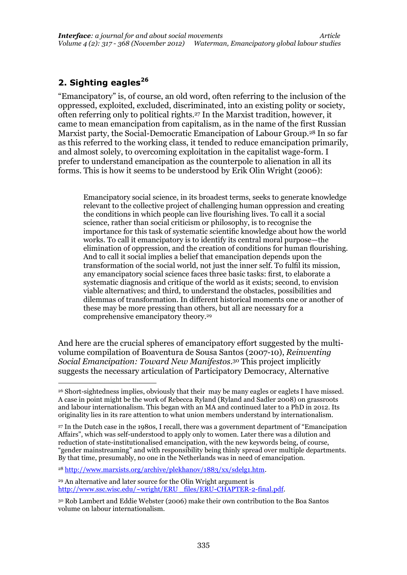## **2. Sighting eagles<sup>26</sup>**

.

"Emancipatory" is, of course, an old word, often referring to the inclusion of the oppressed, exploited, excluded, discriminated, into an existing polity or society, often referring only to political rights. <sup>27</sup> In the Marxist tradition, however, it came to mean emancipation from capitalism, as in the name of the first Russian Marxist party, the Social-Democratic Emancipation of Labour Group. <sup>28</sup> In so far as this referred to the working class, it tended to reduce emancipation primarily, and almost solely, to overcoming exploitation in the capitalist wage-form. I prefer to understand emancipation as the counterpole to alienation in all its forms. This is how it seems to be understood by [Erik Olin Wright \(2006\):](http://www.ssc.wisc.edu/~wright/Published%20writing/New%20Left%20Review%20paper.pdf)

Emancipatory social science, in its broadest terms, seeks to generate knowledge relevant to the collective project of challenging human oppression and creating the conditions in which people can live flourishing lives. To call it a social science, rather than social criticism or philosophy, is to recognise the importance for this task of systematic scientific knowledge about how the world works. To call it emancipatory is to identify its central moral purpose—the elimination of oppression, and the creation of conditions for human flourishing. And to call it social implies a belief that emancipation depends upon the transformation of the social world, not just the inner self. To fulfil its mission, any emancipatory social science faces three basic tasks: first, to elaborate a systematic diagnosis and critique of the world as it exists; second, to envision viable alternatives; and third, to understand the obstacles, possibilities and dilemmas of transformation. In different historical moments one or another of these may be more pressing than others, but all are necessary for a comprehensive emancipatory theory.<sup>29</sup>

And here are the crucial spheres of emancipatory effort suggested by the multivolume compilation of Boaventura de Sousa Santos (2007-10), *Reinventing Social Emancipation: Toward New Manifestos*. <sup>30</sup> This project implicitly suggests the necessary articulation of Participatory Democracy, Alternative

<sup>26</sup> Short-sightedness implies, obviously that their may be many eagles or eaglets I have missed. A case in point might be the work of Rebecca Ryland (Ryland and Sadler 2008) on grassroots and labour internationalism. This began with an MA and continued later to a PhD in 2012. Its originality lies in its rare attention to what union members understand by internationalism.

<sup>27</sup> In the Dutch case in the 1980s, I recall, there was a government department of "Emancipation Affairs", which was self-understood to apply only to women. Later there was a dilution and reduction of state-institutionalised emancipation, with the new keywords being, of course, "gender mainstreaming" and with responsibility being thinly spread over multiple departments. By that time, presumably, no one in the Netherlands was in need of emancipation.

<sup>28</sup> [http://www.marxists.org/archive/plekhanov/1883/xx/sdelg1.htm.](http://www.marxists.org/archive/plekhanov/1883/xx/sdelg1.htm) 

<sup>29</sup> An alternative and later source for the Olin Wright argument is http://www.ssc.wisc.edu/~wright/ERU files/ERU-CHAPTER-2-final.pdf.

<sup>30</sup> Rob Lambert and Eddie Webster (2006) make their own contribution to the Boa Santos volume on labour internationalism.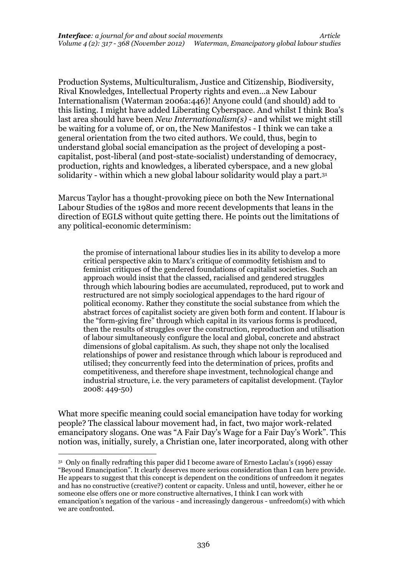Production Systems, Multiculturalism, Justice and Citizenship, Biodiversity, Rival Knowledges, Intellectual Property rights and even…a New Labour Internationalism (Waterman 2006a:446)! Anyone could (and should) add to this listing. I might have added Liberating Cyberspace. And whilst I think Boa's last area should have been *New Internationalism(s)* - and whilst we might still be waiting for a volume of, or on, the New Manifestos - I think we can take a general orientation from the two cited authors. We could, thus, begin to understand global social emancipation as the project of developing a postcapitalist, post-liberal (and post-state-socialist) understanding of democracy, production, rights and knowledges, a liberated cyberspace, and a new global solidarity - within which a new global labour solidarity would play a part.<sup>31</sup>

Marcus Taylor has a thought-provoking piece on both the New International Labour Studies of the 1980s and more recent developments that leans in the direction of EGLS without quite getting there. He points out the limitations of any political-economic determinism:

the promise of international labour studies lies in its ability to develop a more critical perspective akin to Marx's critique of commodity fetishism and to feminist critiques of the gendered foundations of capitalist societies. Such an approach would insist that the classed, racialised and gendered struggles through which labouring bodies are accumulated, reproduced, put to work and restructured are not simply sociological appendages to the hard rigour of political economy. Rather they constitute the social substance from which the abstract forces of capitalist society are given both form and content. If labour is the "form-giving fire" through which capital in its various forms is produced, then the results of struggles over the construction, reproduction and utilisation of labour simultaneously configure the local and global, concrete and abstract dimensions of global capitalism. As such, they shape not only the localised relationships of power and resistance through which labour is reproduced and utilised; they concurrently feed into the determination of prices, profits and competitiveness, and therefore shape investment, technological change and industrial structure, i.e. the very parameters of capitalist development. (Taylor 2008: 449-50)

What more specific meaning could social emancipation have today for working people? The classical labour movement had, in fact, two major work-related emancipatory slogans. One was "A Fair Day's Wage for a Fair Day's Work". This notion was, initially, surely, a Christian one, later incorporated, along with other

<u>.</u>

<sup>31</sup> Only on finally redrafting this paper did I become aware of Ernesto Laclau's (1996) essay "Beyond Emancipation". It clearly deserves more serious consideration than I can here provide. He appears to suggest that this concept is dependent on the conditions of unfreedom it negates and has no constructive (creative?) content or capacity. Unless and until, however, either he or someone else offers one or more constructive alternatives, I think I can work with emancipation's negation of the various - and increasingly dangerous - unfreedom(s) with which we are confronted.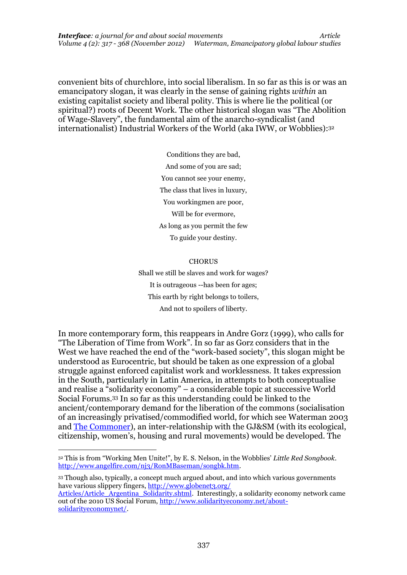convenient bits of churchlore, into social liberalism. In so far as this is or was an emancipatory slogan, it was clearly in the sense of gaining rights *within* an existing capitalist society and liberal polity. This is where lie the political (or spiritual?) roots of Decent Work. The other historical slogan was "The Abolition of Wage-Slavery", the fundamental aim of the anarcho-syndicalist (and internationalist) Industrial Workers of the World (aka IWW, or Wobblies): 32

> Conditions they are bad, And some of you are sad; You cannot see your enemy, The class that lives in luxury, You workingmen are poor, Will be for evermore, As long as you permit the few To guide your destiny.

> > **CHORUS**

Shall we still be slaves and work for wages? It is outrageous --has been for ages; This earth by right belongs to toilers, And not to spoilers of liberty.

In more contemporary form, this reappears in Andre Gorz (1999), who calls for "The Liberation of Time from Work". In so far as Gorz considers that in the West we have reached the end of the "work-based society", this slogan might be understood as Eurocentric, but should be taken as one expression of a global struggle against enforced capitalist work and worklessness. It takes expression in the South, particularly in Latin America, in attempts to both conceptualise and realise a "solidarity economy" – a considerable topic at successive World Social Forums.<sup>33</sup> In so far as this understanding could be linked to the ancient/contemporary demand for the liberation of the commons (socialisation of an increasingly privatised/commodified world, for which see Waterman 2003 and [The Commoner\)](http://www.commoner.org.uk/), an inter-relationship with the GJ&SM (with its ecological, citizenship, women's, housing and rural movements) would be developed. The

<u>.</u>

<sup>33</sup> Though also, typically, a concept much argued about, and into which various governments have various slippery fingers, http://www.globenet3.org/

<sup>32</sup> This is from "Working Men Unite!", by E. S. Nelson, in the Wobblies' *Little Red Songbook*. [http://www.angelfire.com/nj3/RonMBaseman/songbk.htm.](http://www.angelfire.com/nj3/RonMBaseman/songbk.htm)

[Articles/Article\\_Argentina\\_Solidarity.shtml.](http://www.globenet3.org/%20Articles/Article_Argentina_Solidarity.shtml) Interestingly, a solidarity economy network came out of the 2010 US Social Forum[, http://www.solidarityeconomy.net/about](http://www.solidarityeconomy.net/about-solidarityeconomynet/)[solidarityeconomynet/.](http://www.solidarityeconomy.net/about-solidarityeconomynet/)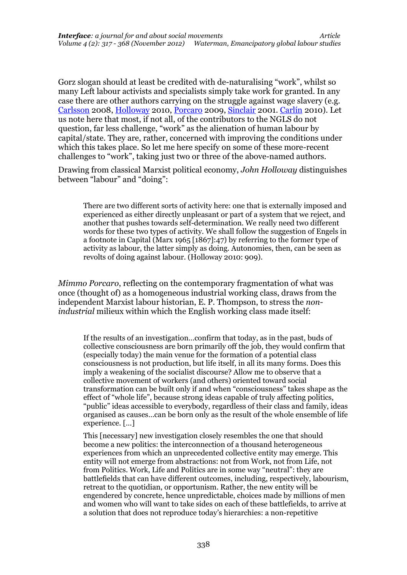Gorz slogan should at least be credited with de-naturalising "work", whilst so many Left labour activists and specialists simply take work for granted. In any case there are other authors carrying on the struggle against wage slavery (e.g. [Carlsson](http://www.processedworld.com/carlsson/nowtopian/nowtopia/how-topia-now) 2008, [Holloway](http://blog.p2pfoundation.net/john-holloway-on-the-revolt-of-doing-against-labour/2010/09/17) 2010, [Porcaro](http://transform-network.net/en/journal/issue-022008/news/author/3.html) 2009, [Sinclair](http://www.fourhourday.org/) 2001. [Carlín](http://manifestoofthe21stcentury.blogspot.com/) 2010). Let us note here that most, if not all, of the contributors to the NGLS do not question, far less challenge, "work" as the alienation of human labour by capital/state. They are, rather, concerned with improving the conditions under which this takes place. So let me here specify on some of these more-recent challenges to "work", taking just two or three of the above-named authors.

Drawing from classical Marxist political economy, *John Holloway* distinguishes between "labour" and "doing":

There are two different sorts of activity here: one that is externally imposed and experienced as either directly unpleasant or part of a system that we reject, and another that pushes towards self-determination. We really need two different words for these two types of activity. We shall follow the suggestion of Engels in a footnote in Capital (Marx 1965 [1867]:47) by referring to the former type of activity as labour, the latter simply as doing. Autonomies, then, can be seen as revolts of doing against labour. (Holloway 2010: 909).

*Mimmo Porcaro*, reflecting on the contemporary fragmentation of what was once (thought of) as a homogeneous industrial working class, draws from the independent Marxist labour historian, E. P. Thompson, to stress the *nonindustrial* milieux within which the English working class made itself:

If the results of an investigation…confirm that today, as in the past, buds of collective consciousness are born primarily off the job, they would confirm that (especially today) the main venue for the formation of a potential class consciousness is not production, but life itself, in all its many forms. Does this imply a weakening of the socialist discourse? Allow me to observe that a collective movement of workers (and others) oriented toward social transformation can be built only if and when "consciousness" takes shape as the effect of "whole life", because strong ideas capable of truly affecting politics, "public" ideas accessible to everybody, regardless of their class and family, ideas organised as causes…can be born only as the result of the whole ensemble of life experience. […]

This [necessary] new investigation closely resembles the one that should become a new politics: the interconnection of a thousand heterogeneous experiences from which an unprecedented collective entity may emerge. This entity will not emerge from abstractions: not from Work, not from Life, not from Politics. Work, Life and Politics are in some way "neutral": they are battlefields that can have different outcomes, including, respectively, labourism, retreat to the quotidian, or opportunism. Rather, the new entity will be engendered by concrete, hence unpredictable, choices made by millions of men and women who will want to take sides on each of these battlefields, to arrive at a solution that does not reproduce today's hierarchies: a non-repetitive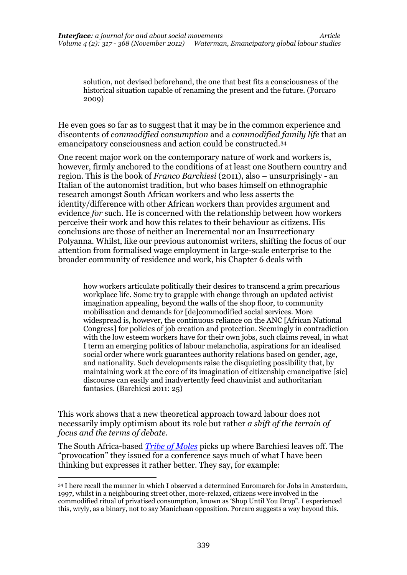solution, not devised beforehand, the one that best fits a consciousness of the historical situation capable of renaming the present and the future. (Porcaro 2009)

He even goes so far as to suggest that it may be in the common experience and discontents of *commodified consumption* and a *commodified family life* that an emancipatory consciousness and action could be constructed.<sup>34</sup>

One recent major work on the contemporary nature of work and workers is, however, firmly anchored to the conditions of at least one Southern country and region. This is the book of *Franco Barchiesi* (2011), also – unsurprisingly - an Italian of the autonomist tradition, but who bases himself on ethnographic research amongst South African workers and who less asserts the identity/difference with other African workers than provides argument and evidence *for* such. He is concerned with the relationship between how workers perceive their work and how this relates to their behaviour as citizens. His conclusions are those of neither an Incremental nor an Insurrectionary Polyanna. Whilst, like our previous autonomist writers, shifting the focus of our attention from formalised wage employment in large-scale enterprise to the broader community of residence and work, his Chapter 6 deals with

how workers articulate politically their desires to transcend a grim precarious workplace life. Some try to grapple with change through an updated activist imagination appealing, beyond the walls of the shop floor, to community mobilisation and demands for [de]commodified social services. More widespread is, however, the continuous reliance on the ANC [African National Congress] for policies of job creation and protection. Seemingly in contradiction with the low esteem workers have for their own jobs, such claims reveal, in what I term an emerging politics of labour melancholia, aspirations for an idealised social order where work guarantees authority relations based on gender, age, and nationality. Such developments raise the disquieting possibility that, by maintaining work at the core of its imagination of citizenship emancipative [sic] discourse can easily and inadvertently feed chauvinist and authoritarian fantasies. (Barchiesi 2011: 25)

This work shows that a new theoretical approach toward labour does not necessarily imply optimism about its role but rather *a shift of the terrain of focus and the terms of debate*.

The South Africa-based *[Tribe of Moles](http://tribeofmoles.wordpress.com/)* picks up where Barchiesi leaves off. The "provocation" they issued for a conference says much of what I have been thinking but expresses it rather better. They say, for example:

<u>.</u>

<sup>34</sup> I here recall the manner in which I observed a determined Euromarch for Jobs in Amsterdam, 1997, whilst in a neighbouring street other, more-relaxed, citizens were involved in the commodified ritual of privatised consumption, known as 'Shop Until You Drop". I experienced this, wryly, as a binary, not to say Manichean opposition. Porcaro suggests a way beyond this.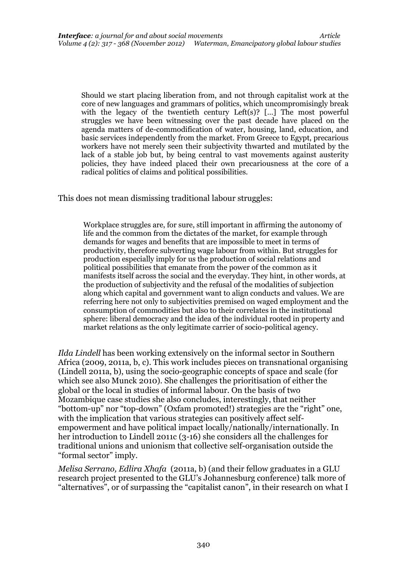Should we start placing liberation from, and not through capitalist work at the core of new languages and grammars of politics, which uncompromisingly break with the legacy of the twentieth century Left(s)? [...] The most powerful struggles we have been witnessing over the past decade have placed on the agenda matters of de-commodification of water, housing, land, education, and basic services independently from the market. From Greece to Egypt, precarious workers have not merely seen their subjectivity thwarted and mutilated by the lack of a stable job but, by being central to vast movements against austerity policies, they have indeed placed their own precariousness at the core of a radical politics of claims and political possibilities.

This does not mean dismissing traditional labour struggles:

Workplace struggles are, for sure, still important in affirming the autonomy of life and the common from the dictates of the market, for example through demands for wages and benefits that are impossible to meet in terms of productivity, therefore subverting wage labour from within. But struggles for production especially imply for us the production of social relations and political possibilities that emanate from the power of the common as it manifests itself across the social and the everyday. They hint, in other words, at the production of subjectivity and the refusal of the modalities of subjection along which capital and government want to align conducts and values. We are referring here not only to subjectivities premised on waged employment and the consumption of commodities but also to their correlates in the institutional sphere: liberal democracy and the idea of the individual rooted in property and market relations as the only legitimate carrier of socio-political agency.

*Ilda Lindell* has been working extensively on the informal sector in Southern Africa (2009, 2011a, b, c). This work includes pieces on transnational organising (Lindell 2011a, b), using the socio-geographic concepts of space and scale (for which see also Munck 2010). She challenges the prioritisation of either the global or the local in studies of informal labour. On the basis of two Mozambique case studies she also concludes, interestingly, that neither "bottom-up" nor "top-down" (Oxfam promoted!) strategies are the "right" one, with the implication that various strategies can positively affect selfempowerment and have political impact locally/nationally/internationally. In her introduction to Lindell 2011c (3-16) she considers all the challenges for traditional unions and unionism that collective self-organisation outside the "formal sector" imply.

*Melisa Serrano, Edlira Xhafa* (2011a, b) (and their fellow graduates in a GLU research project presented to the GLU's Johannesburg conference) talk more of "alternatives", or of surpassing the "capitalist canon", in their research on what I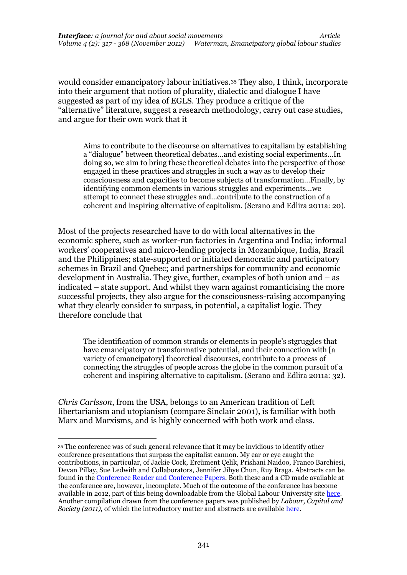would consider emancipatory labour initiatives.<sup>35</sup> They also, I think, incorporate into their argument that notion of plurality, dialectic and dialogue I have suggested as part of my idea of EGLS. They produce a critique of the "alternative" literature, suggest a research methodology, carry out case studies, and argue for their own work that it

Aims to contribute to the discourse on alternatives to capitalism by establishing a "dialogue" between theoretical debates…and existing social experiments…In doing so, we aim to bring these theoretical debates into the perspective of those engaged in these practices and struggles in such a way as to develop their consciousness and capacities to become subjects of transformation…Finally, by identifying common elements in various struggles and experiments…we attempt to connect these struggles and…contribute to the construction of a coherent and inspiring alternative of capitalism. (Serano and Edlira 2011a: 20).

Most of the projects researched have to do with local alternatives in the economic sphere, such as worker-run factories in Argentina and India; informal workers' cooperatives and micro-lending projects in Mozambique, India, Brazil and the Philippines; state-supported or initiated democratic and participatory schemes in Brazil and Quebec; and partnerships for community and economic development in Australia. They give, further, examples of both union and – as indicated – state support. And whilst they warn against romanticising the more successful projects, they also argue for the consciousness-raising accompanying what they clearly consider to surpass, in potential, a capitalist logic. They therefore conclude that

The identification of common strands or elements in people's stgruggles that have emancipatory or transformative potential, and their connection with [a variety of emancipatory] theoretical discourses, contribute to a process of connecting the struggles of people across the globe in the common pursuit of a coherent and inspiring alternative to capitalism. (Serano and Edlira 2011a: 32).

*Chris Carlsson*, from the USA, belongs to an American tradition of Left libertarianism and utopianism (compare Sinclair 2001), is familiar with both Marx and Marxisms, and is highly concerned with both work and class.

.

<sup>35</sup> The conference was of such general relevance that it may be invidious to identify other conference presentations that surpass the capitalist cannon. My ear or eye caught the contributions, in particular, of Jackie Cock, Ercüment Çelik, Prishani Naidoo, Franco Barchiesi, Devan Pillay, Sue Ledwith and Collaborators, Jennifer Jihye Chun, Ruy Braga. Abstracts can be found in the [Conference Reader and Conference Papers.](http://www.global-labour-university.org/259.html) Both these and a CD made available at the conference are, however, incomplete. Much of the outcome of the conference has become available in 2o12, part of this being downloadable from the Global Labour University site [here.](https://kobra.bibliothek.uni-kassel.de/bitstream/urn:nbn:de:hebis:34-2012092741860/1/SerranoXhafaPursuit.pdf) Another compilation drawn from the conference papers was published by *Labour, Capital and Society (2011),* of which the introductory matter and abstracts are availabl[e here.](http://www.lcs-tcs.com/current.html)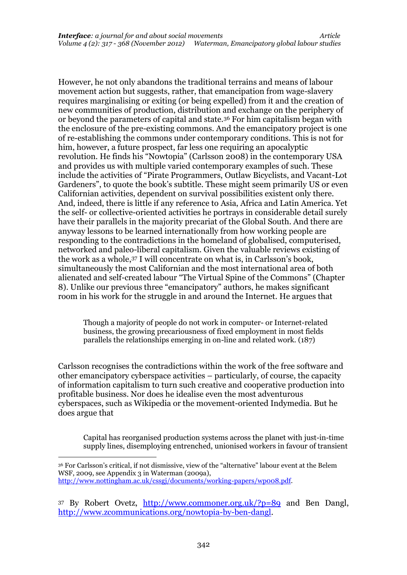However, he not only abandons the traditional terrains and means of labour movement action but suggests, rather, that emancipation from wage-slavery requires marginalising or exiting (or being expelled) from it and the creation of new communities of production, distribution and exchange on the periphery of or beyond the parameters of capital and state.<sup>36</sup> For him capitalism began with the enclosure of the pre-existing commons. And the emancipatory project is one of re-establishing the commons under contemporary conditions. This is not for him, however, a future prospect, far less one requiring an apocalyptic revolution. He finds his "Nowtopia" (Carlsson 2008) in the contemporary USA and provides us with multiple varied contemporary examples of such. These include the activities of "Pirate Programmers, Outlaw Bicyclists, and Vacant-Lot Gardeners", to quote the book's subtitle. These might seem primarily US or even Californian activities, dependent on survival possibilities existent only there. And, indeed, there is little if any reference to Asia, Africa and Latin America. Yet the self- or collective-oriented activities he portrays in considerable detail surely have their parallels in the majority precariat of the Global South. And there are anyway lessons to be learned internationally from how working people are responding to the contradictions in the homeland of globalised, computerised, networked and paleo-liberal capitalism. Given the valuable reviews existing of the work as a whole,<sup>37</sup> I will concentrate on what is, in Carlsson's book, simultaneously the most Californian and the most international area of both alienated and self-created labour "The Virtual Spine of the Commons" (Chapter 8). Unlike our previous three "emancipatory" authors, he makes significant room in his work for the struggle in and around the Internet. He argues that

Though a majority of people do not work in computer- or Internet-related business, the growing precariousness of fixed employment in most fields parallels the relationships emerging in on-line and related work. (187)

Carlsson recognises the contradictions within the work of the free software and other emancipatory cyberspace activities – particularly, of course, the capacity of information capitalism to turn such creative and cooperative production into profitable business. Nor does he idealise even the most adventurous cyberspaces, such as Wikipedia or the movement-oriented Indymedia. But he does argue that

Capital has reorganised production systems across the planet with just-in-time supply lines, disemploying entrenched, unionised workers in favour of transient

.

<sup>37</sup> By Robert Ovetz, <http://www.commoner.org.uk/?p=89> and Ben Dangl, [http://www.zcommunications.org/nowtopia-by-ben-dangl.](http://www.zcommunications.org/nowtopia-by-ben-dangl)

<sup>36</sup> For Carlsson's critical, if not dismissive, view of the "alternative" labour event at the Belem WSF, 2009, see Appendix 3 in Waterman (2009a), [http://www.nottingham.ac.uk/cssgj/documents/working-papers/wp008.pdf.](http://www.nottingham.ac.uk/cssgj/documents/working-papers/wp008.pdf)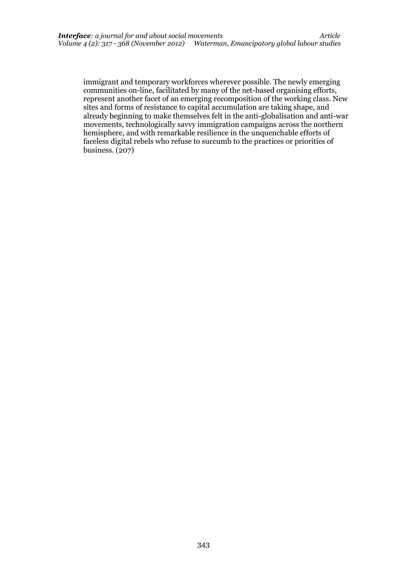immigrant and temporary workforces wherever possible. The newly emerging communities on-line, facilitated by many of the net-based organising efforts, represent another facet of an emerging recomposition of the working class. New sites and forms of resistance to capital accumulation are taking shape, and already beginning to make themselves felt in the anti-globalisation and anti-war movements, technologically savvy immigration campaigns across the northern hemisphere, and with remarkable resilience in the unquenchable efforts of faceless digital rebels who refuse to succumb to the practices or priorities of business. (207)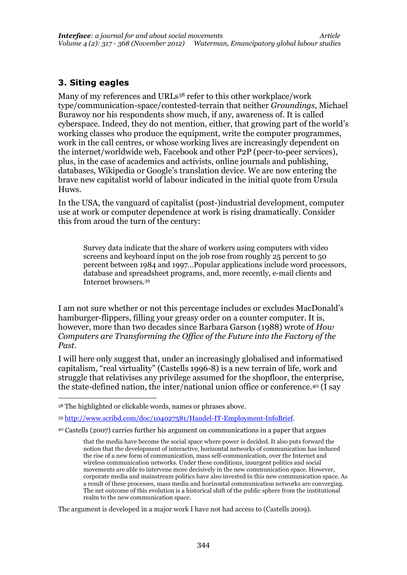## **3. Siting eagles**

Many of my references and URLs<sup>38</sup> refer to this other workplace/work type/communication-space/contested-terrain that neither *Groundings*, Michael Burawoy nor his respondents show much, if any, awareness of. It is called cyberspace. Indeed, they do not mention, either, that growing part of the world's working classes who produce the equipment, write the computer programmes, work in the call centres, or whose working lives are increasingly dependent on the internet/worldwide web, Facebook and other P2P (peer-to-peer services), plus, in the case of academics and activists, online journals and publishing, databases, Wikipedia or Google's translation device. We are now entering the brave new capitalist world of labour indicated in the initial quote from Ursula Huws.

In the USA, the vanguard of capitalist (post-)industrial development, computer use at work or computer dependence at work is rising dramatically. Consider this from aroud the turn of the century:

Survey data indicate that the share of workers using computers with video screens and keyboard input on the job rose from roughly 25 percent to 50 percent between 1984 and 1997…Popular applications include word processors, database and spreadsheet programs, and, more recently, e-mail clients and Internet browsers.<sup>39</sup>

I am not sure whether or not this percentage includes or excludes MacDonald's hamburger-flippers, filling your greasy order on a counter computer. It is, however, more than two decades since Barbara Garson (1988) wrote of *How Computers are Transforming the Office of the Future into the Factory of the Past*.

I will here only suggest that, under an increasingly globalised and informatised capitalism, "real virtuality" (Castells 1996-8) is a new terrain of life, work and struggle that relativises any privilege assumed for the shopfloor, the enterprise, the state-defined nation, the inter/national union office or conference. <sup>40</sup> (I say

.

The argument is developed in a major work I have not had access to (Castells 2009).

<sup>38</sup> The highlighted or clickable words, names or phrases above.

<sup>39</sup> [http://www.scribd.com/doc/104027581/Handel-IT-Employment-InfoBrief.](http://www.scribd.com/doc/104027581/Handel-IT-Employment-InfoBrief)

<sup>40</sup> Castells (2007) carries further his argument on communications in a paper that argues

that the media have become the social space where power is decided. It also puts forward the notion that the development of interactive, horizontal networks of communication has induced the rise of a new form of communication, mass self-communication, over the Internet and wireless communication networks. Under these conditions, insurgent politics and social movements are able to intervene more decisively in the new communication space. However, corporate media and mainstream politics have also invested in this new communication space. As a result of these processes, mass media and horizontal communication networks are converging. The net outcome of this evolution is a historical shift of the public sphere from the institutional realm to the new communication space.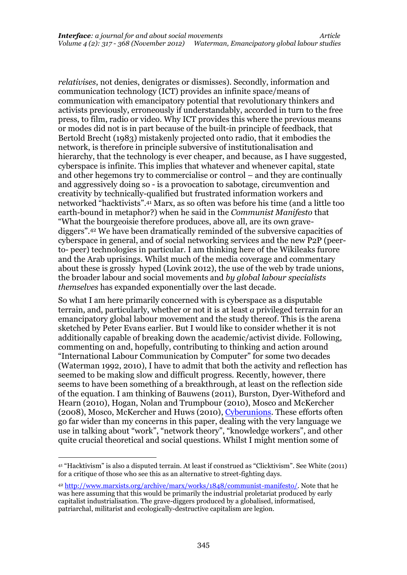*relativises*, not denies, denigrates or dismisses). Secondly, information and communication technology (ICT) provides an infinite space/means of communication with emancipatory potential that revolutionary thinkers and activists previously, erroneously if understandably, accorded in turn to the free press, to film, radio or video. Why ICT provides this where the previous means or modes did not is in part because of the built-in principle of feedback, that Bertold Brecht (1983) mistakenly projected onto radio, that it embodies the network, is therefore in principle subversive of institutionalisation and hierarchy, that the technology is ever cheaper, and because, as I have suggested, cyberspace is infinite. This implies that whatever and whenever capital, state and other hegemons try to commercialise or control – and they are continually and aggressively doing so - is a provocation to sabotage, circumvention and creativity by technically-qualified but frustrated information workers and networked "hacktivists". <sup>41</sup> Marx, as so often was before his time (and a little too earth-bound in metaphor?) when he said in the *Communist Manifesto* that "What the bourgeoisie therefore produces, above all, are its own gravediggers". <sup>42</sup> We have been dramatically reminded of the subversive capacities of cyberspace in general, and of social networking services and the new P2P (peerto- peer) technologies in particular. I am thinking here of the Wikileaks furore and the Arab uprisings. Whilst much of the media coverage and commentary about these is grossly hyped (Lovink 2012), the use of the web by trade unions, the broader labour and social movements and *by global labour specialists themselves* has expanded exponentially over the last decade.

So what I am here primarily concerned with is cyberspace as a disputable terrain, and, particularly, whether or not it is at least *a* privileged terrain for an emancipatory global labour movement and the study thereof. This is the arena sketched by Peter Evans earlier. But I would like to consider whether it is not additionally capable of breaking down the academic/activist divide. Following, commenting on and, hopefully, contributing to thinking and action around "International Labour Communication by Computer" for some two decades (Waterman 1992, 2010), I have to admit that both the activity and reflection has seemed to be making slow and difficult progress. Recently, however, there seems to have been something of a breakthrough, at least on the reflection side of the equation. I am thinking of Bauwens (2011), Burston, Dyer-Witheford and Hearn (2010), Hogan, Nolan and Trumpbour (2010), Mosco and McKercher (2008), Mosco, McKercher and Huws (2010), [Cyberunions.](http://cyberunions.org/) These efforts often go far wider than my concerns in this paper, dealing with the very language we use in talking about "work", "network theory", "knowledge workers", and other quite crucial theoretical and social questions. Whilst I might mention some of

<u>.</u>

<sup>41</sup> "Hacktivism" is also a disputed terrain. At least if construed as "Clicktivism". See White (2011) for a critique of those who see this as an alternative to street-fighting days.

<sup>42</sup> [http://www.marxists.org/archive/marx/works/1848/communist-manifesto/.](http://www.marxists.org/archive/marx/works/1848/communist-manifesto/) Note that he was here assuming that this would be primarily the industrial proletariat produced by early capitalist industrialisation. The grave-diggers produced by a globalised, informatised, patriarchal, militarist and ecologically-destructive capitalism are legion.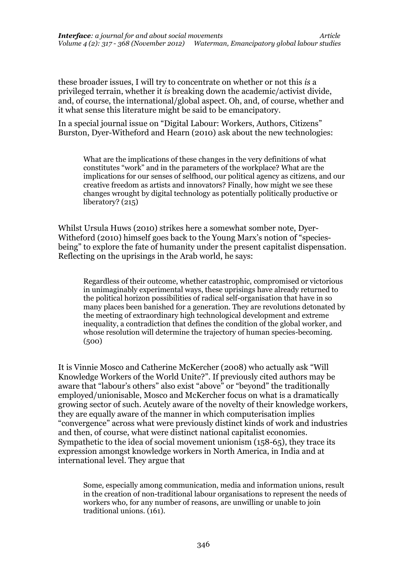these broader issues, I will try to concentrate on whether or not this *is* a privileged terrain, whether it *is* breaking down the academic/activist divide, and, of course, the international/global aspect. Oh, and, of course, whether and it what sense this literature might be said to be emancipatory.

In a special journal issue on "Digital Labour: Workers, Authors, Citizens" Burston, Dyer-Witheford and Hearn (2010) ask about the new technologies:

What are the implications of these changes in the very definitions of what constitutes "work" and in the parameters of the workplace? What are the implications for our senses of selfhood, our political agency as citizens, and our creative freedom as artists and innovators? Finally, how might we see these changes wrought by digital technology as potentially politically productive or liberatory? (215)

Whilst Ursula Huws (2010) strikes here a somewhat somber note, Dyer-Witheford (2010) himself goes back to the Young Marx's notion of "speciesbeing" to explore the fate of humanity under the present capitalist dispensation. Reflecting on the uprisings in the Arab world, he says:

Regardless of their outcome, whether catastrophic, compromised or victorious in unimaginably experimental ways, these uprisings have already returned to the political horizon possibilities of radical self-organisation that have in so many places been banished for a generation. They are revolutions detonated by the meeting of extraordinary high technological development and extreme inequality, a contradiction that defines the condition of the global worker, and whose resolution will determine the trajectory of human species-becoming.  $(500)$ 

It is Vinnie Mosco and Catherine McKercher (2008) who actually ask "Will Knowledge Workers of the World Unite?". If previously cited authors may be aware that "labour's others" also exist "above" or "beyond" the traditionally employed/unionisable, Mosco and McKercher focus on what is a dramatically growing sector of such. Acutely aware of the novelty of their knowledge workers, they are equally aware of the manner in which computerisation implies "convergence" across what were previously distinct kinds of work and industries and then, of course, what were distinct national capitalist economies. Sympathetic to the idea of social movement unionism (158-65), they trace its expression amongst knowledge workers in North America, in India and at international level. They argue that

Some, especially among communication, media and information unions, result in the creation of non-traditional labour organisations to represent the needs of workers who, for any number of reasons, are unwilling or unable to join traditional unions. (161).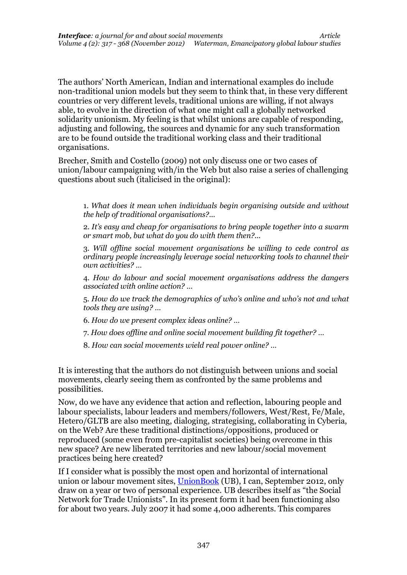The authors' North American, Indian and international examples do include non-traditional union models but they seem to think that, in these very different countries or very different levels, traditional unions are willing, if not always able, to evolve in the direction of what one might call a globally networked solidarity unionism. My feeling is that whilst unions are capable of responding, adjusting and following, the sources and dynamic for any such transformation are to be found outside the traditional working class and their traditional organisations.

Brecher, Smith and Costello (2009) not only discuss one or two cases of union/labour campaigning with/in the Web but also raise a series of challenging questions about such (italicised in the original):

1. *What does it mean when individuals begin organising outside and without the help of traditional organisations?*...

2. *It's easy and cheap for organisations to bring people together into a swarm or smart mob, but what do you do with them then?*...

3. *Will offline social movement organisations be willing to cede control as ordinary people increasingly leverage social networking tools to channel their own activities?* …

4. *How do labour and social movement organisations address the dangers associated with online action?* …

5. *How do we track the demographics of who's online and who's not and what tools they are using?* …

6. *How do we present complex ideas online?* …

7. *How does offline and online social movement building fit together?* …

8. *How can social movements wield real power online?* …

It is interesting that the authors do not distinguish between unions and social movements, clearly seeing them as confronted by the same problems and possibilities.

Now, do we have any evidence that action and reflection, labouring people and labour specialists, labour leaders and members/followers, West/Rest, Fe/Male, Hetero/GLTB are also meeting, dialoging, strategising, collaborating in Cyberia, on the Web? Are these traditional distinctions/oppositions, produced or reproduced (some even from pre-capitalist societies) being overcome in this new space? Are new liberated territories and new labour/social movement practices being here created?

If I consider what is possibly the most open and horizontal of international union or labour movement sites, [UnionBook](http://www.unionbook.org/) (UB), I can, September 2012, only draw on a year or two of personal experience. UB describes itself as "the Social Network for Trade Unionists". In its present form it had been functioning also for about two years. July 2007 it had some 4,000 adherents. This compares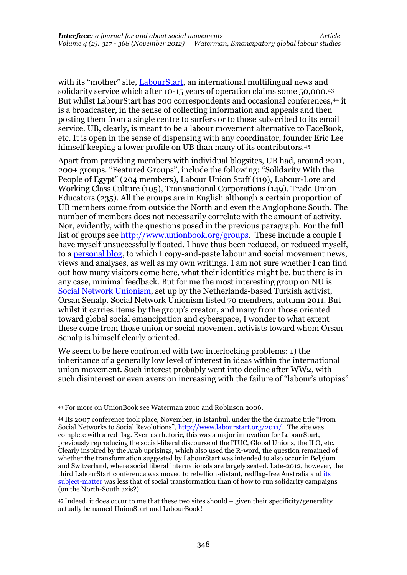with its "mother" site, [LabourStart,](http://www.labourstart.org/docs/en/000004.html) an international multilingual news and solidarity service which after 10-15 years of operation claims some 50,000.<sup>43</sup> But whilst LabourStart has 200 correspondents and occasional conferences, <sup>44</sup> it is a broadcaster, in the sense of collecting information and appeals and then posting them from a single centre to surfers or to those subscribed to its email service. UB, clearly, is meant to be a labour movement alternative to FaceBook, etc. It is open in the sense of dispensing with any coordinator, founder Eric Lee himself keeping a lower profile on UB than many of its contributors.<sup>45</sup>

Apart from providing members with individual blogsites, UB had, around 2011, 200+ groups. "Featured Groups", include the following: "Solidarity With the People of Egypt" (204 members), Labour Union Staff (119), [Labour-Lore and](http://www.unionbook.org/group/laborloreandworkingclassculture)  [Working Class Culture](http://www.unionbook.org/group/laborloreandworkingclassculture) (105), Transnational Corporations (149), Trade Union Educators (235). All the groups are in English although a certain proportion of UB members come from outside the North and even the Anglophone South. The number of members does not necessarily correlate with the amount of activity. Nor, evidently, with the questions posed in the previous paragraph. For the full list of groups see [http://www.unionbook.org/groups.](http://www.unionbook.org/groups) These include a couple I have myself unsuccessfully floated. I have thus been reduced, or reduced myself, to a [personal blog,](http://www.unionbook.org/profile/peterwaterman) to which I copy-and-paste labour and social movement news, views and analyses, as well as my own writings. I am not sure whether I can find out how many visitors come here, what their identities might be, but there is in any case, minimal feedback. But for me the most interesting group on NU is [Social Network Unionism,](http://www.unionbook.org/group/socialnetworkunionism) set up by the Netherlands-based Turkish activist, Orsan Senalp. Social Network Unionism listed 70 members, autumn 2011. But whilst it carries items by the group's creator, and many from those oriented toward global social emancipation and cyberspace, I wonder to what extent these come from those union or social movement activists toward whom Orsan Senalp is himself clearly oriented.

We seem to be here confronted with two interlocking problems: 1) the inheritance of a generally low level of interest in ideas within the international union movement. Such interest probably went into decline after WW2, with such disinterest or even aversion increasing with the failure of "labour's utopias"

.

<sup>43</sup> For more on UnionBook see Waterman 2010 and Robinson 2006.

<sup>44</sup> Its 2007 conference took place, November, in Istanbul, under the the dramatic title "From Social Networks to Social Revolutions", [http://www.labourstart.org/2011/.](http://www.labourstart.org/2011/) The site was complete with a red flag. Even as rhetoric, this was a major innovation for LabourStart, previously reproducing the social-liberal discourse of the ITUC, Global Unions, the ILO, etc. Clearly inspired by the Arab uprisings, which also used the R-word, the question remained of whether the transformation suggested by LabourStart was intended to also occur in Belgium and Switzerland, where social liberal internationals are largely seated. Late-2012, however, the third LabourStart conference was moved to rebellion-distant, redflag-free Australia and its [subject-matter](http://www.labourstart.org/australia/sydneyprogramme.pdf) was less that of social transformation than of how to run solidarity campaigns (on the North-South axis?).

<sup>45</sup> Indeed, it does occur to me that these two sites should – given their specificity/generality actually be named UnionStart and LabourBook!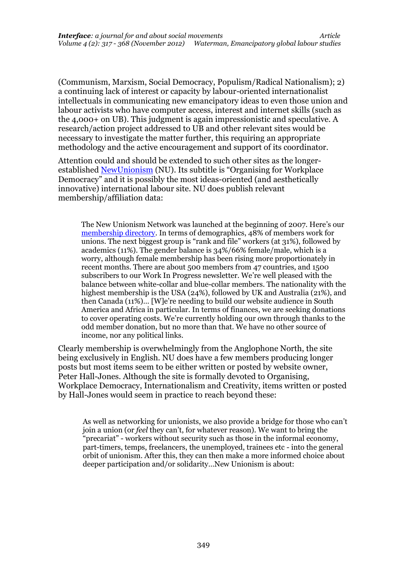(Communism, Marxism, Social Democracy, Populism/Radical Nationalism); 2) a continuing lack of interest or capacity by labour-oriented internationalist intellectuals in communicating new emancipatory ideas to even those union and labour activists who have computer access, interest and internet skills (such as the 4,000+ on UB). This judgment is again impressionistic and speculative. A research/action project addressed to UB and other relevant sites would be necessary to investigate the matter further, this requiring an appropriate methodology and the active encouragement and support of its coordinator.

Attention could and should be extended to such other sites as the longerestablished [NewUnionism](http://www.newunionism.net/) (NU). Its subtitle is "Organising for Workplace Democracy" and it is possibly the most ideas-oriented (and aesthetically innovative) international labour site. NU does publish relevant membership/affiliation data:

The New Unionism Network was launched at the beginning of 2007. Here's our [membership directory.](http://www.newunionism.net/who.htm) In terms of demographics, 48% of members work for unions. The next biggest group is "rank and file" workers (at 31%), followed by academics (11%). The gender balance is 34%/66% female/male, which is a worry, although female membership has been rising more proportionately in recent months. There are about 500 members from 47 countries, and 1500 subscribers to our Work In Progress newsletter. We're well pleased with the balance between white-collar and blue-collar members. The nationality with the highest membership is the USA (24%), followed by UK and Australia (21%), and then Canada (11%)… [W]e're needing to build our website audience in South America and Africa in particular. In terms of finances, we are seeking donations to cover operating costs. We're currently holding our own through thanks to the odd member donation, but no more than that. We have no other source of income, nor any political links.

Clearly membership is overwhelmingly from the Anglophone North, the site being exclusively in English. NU does have a few members producing longer posts but most items seem to be either written or posted by website owner, Peter Hall-Jones. Although the site is formally devoted to Organising, Workplace Democracy, Internationalism and Creativity, items written or posted by Hall-Jones would seem in practice to reach beyond these:

As well as networking for unionists, we also provide a bridge for those who can't join a union (or *feel* they can't, for whatever reason). We want to bring the "precariat" - workers without security such as those in the informal economy, part-timers, temps, freelancers, the unemployed, trainees etc - into the general orbit of unionism. After this, they can then make a more informed choice about deeper participation and/or solidarity…New Unionism is about: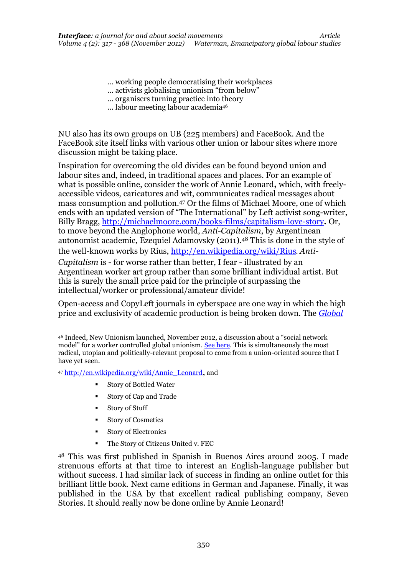... working people democratising their workplaces

- ... activists globalising unionism "from below"
- ... organisers turning practice into theory
- ... labour meeting labour academia<sup>46</sup>

NU also has its own groups on UB (225 members) and FaceBook. And the FaceBook site itself links with various other union or labour sites where more discussion might be taking place.

Inspiration for overcoming the old divides can be found beyond union and labour sites and, indeed, in traditional spaces and places. For an example of what is possible online, consider the work of Annie Leonard**,** which, with freelyaccessible videos, caricatures and wit, communicates radical messages about mass consumption and pollution.<sup>47</sup> Or the films of Michael Moore, one of which ends with an updated version of "The International" by Left activist song-writer, Billy Bragg,<http://michaelmoore.com/books-films/capitalism-love-story>**.** Or, to move beyond the Anglophone world, *Anti-Capitalism*, by Argentinean autonomist academic, Ezequiel Adamovsky (2011).<sup>48</sup> This is done in the style of the well-known works by Rius, <http://en.wikipedia.org/wiki/Rius>**.** *Anti-*

*Capitalism* is - for worse rather than better, I fear - illustrated by an Argentinean worker art group rather than some brilliant individual artist. But this is surely the small price paid for the principle of surpassing the intellectual/worker or professional/amateur divide!

Open-access and CopyLeft journals in cyberspace are one way in which the high price and exclusivity of academic production is being broken down. The *[Global](http://digitalcommons.mcmaster.ca/globallabour/)* 

<sup>47</sup> [http://en.wikipedia.org/wiki/Annie\\_Leonard](http://en.wikipedia.org/wiki/Annie_Leonard)**,** and

- Story of Bottled Water
- [Story of Cap and Trade](http://storyofstuff.com/capandtrade/)
- [Story of Stuff](http://www.storyofstuff.com/)

<u>.</u>

- [Story of Cosmetics](http://www.storyofstuff.com/cosmetics)
- [Story of Electronics](http://storyofstuff.org/electronics)
- [The Story of Citizens United v. FEC](http://storyofstuff.org/citizensunited/)

<sup>48</sup> This was first published in Spanish in Buenos Aires around 2005. I made strenuous efforts at that time to interest an English-language publisher but without success. I had similar lack of success in finding an online outlet for this brilliant little book. Next came editions in German and Japanese. Finally, it was published in the USA by that excellent radical publishing company, Seven Stories. It should really now be done online by Annie Leonard!

<sup>46</sup> Indeed, New Unionism launched, November 2012, a discussion about a "social network model" for a worker controlled global unionism. [See here.](http://newunionism.wordpress.com/2012/10/23/global-unionism-social-network-unionism/) This is simultaneously the most radical, utopian and politically-relevant proposal to come from a union-oriented source that I have yet seen.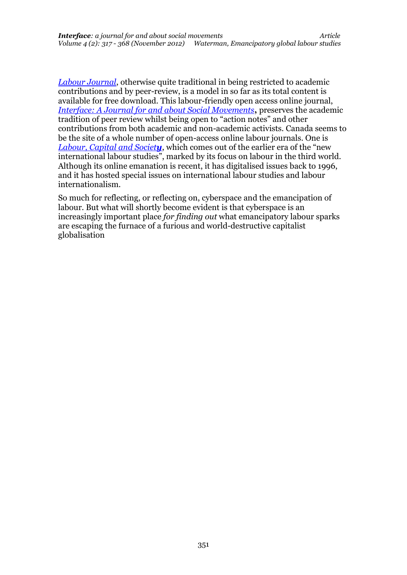*Labour Journal*, otherwise quite traditional in being restricted to academic contributions and by peer-review, is a model in so far as its total content is available for free download. This labour-friendly open access online journal, *[Interface: A Journal for and about Social Movements](http://www.interfacejournal.net/)***,** preserves the academic tradition of peer review whilst being open to "action notes" and other contributions from both academic and non-academic activists. Canada seems to be the site of a whole number of open-access online labour journals. One is *[Labour, Capital and Societ](http://www.lcs-tcs.com/)y,* which comes out of the earlier era of the "new" international labour studies", marked by its focus on labour in the third world. Although its online emanation is recent, it has digitalised issues back to 1996, and it has hosted special issues on international labour studies and labour internationalism.

So much for reflecting, or reflecting on, cyberspace and the emancipation of labour. But what will shortly become evident is that cyberspace is an increasingly important place *for finding out* what emancipatory labour sparks are escaping the furnace of a furious and world-destructive capitalist globalisation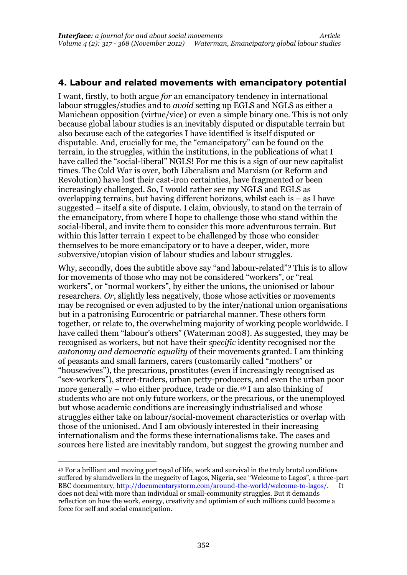### **4. Labour and related movements with emancipatory potential**

I want, firstly, to both argue *for* an emancipatory tendency in international labour struggles/studies and to *avoid* setting up EGLS and NGLS as either a Manichean opposition (virtue/vice) or even a simple binary one. This is not only because global labour studies is an inevitably disputed or disputable terrain but also because each of the categories I have identified is itself disputed or disputable. And, crucially for me, the "emancipatory" can be found on the terrain, in the struggles, within the institutions, in the publications of what I have called the "social-liberal" NGLS! For me this is a sign of our new capitalist times. The Cold War is over, both Liberalism and Marxism (or Reform and Revolution) have lost their cast-iron certainties, have fragmented or been increasingly challenged. So, I would rather see my NGLS and EGLS as overlapping terrains, but having different horizons, whilst each is – as I have suggested – itself a site of dispute. I claim, obviously, to stand on the terrain of the emancipatory, from where I hope to challenge those who stand within the social-liberal, and invite them to consider this more adventurous terrain. But within this latter terrain I expect to be challenged by those who consider themselves to be more emancipatory or to have a deeper, wider, more subversive/utopian vision of labour studies and labour struggles.

Why, secondly, does the subtitle above say "and labour-related"? This is to allow for movements of those who may not be considered "workers", or "real workers", or "normal workers", by either the unions, the unionised or labour researchers. *Or*, slightly less negatively, those whose activities or movements may be recognised or even adjusted to by the inter/national union organisations but in a patronising Eurocentric or patriarchal manner. These others form together, or relate to, the overwhelming majority of working people worldwide. I have called them "labour's others" (Waterman 2008). As suggested, they may be recognised as workers, but not have their *specific* identity recognised nor the *autonomy and democratic equality* of their movements granted. I am thinking of peasants and small farmers, carers (customarily called "mothers" or "housewives"), the precarious, prostitutes (even if increasingly recognised as "sex-workers"), street-traders, urban petty-producers, and even the urban poor more generally – who either produce, trade or die.<sup>49</sup> I am also thinking of students who are not only future workers, or the precarious, or the unemployed but whose academic conditions are increasingly industrialised and whose struggles either take on labour/social-movement characteristics or overlap with those of the unionised. And I am obviously interested in their increasing internationalism and the forms these internationalisms take. The cases and sources here listed are inevitably random, but suggest the growing number and

<u>.</u>

<sup>49</sup> For a brilliant and moving portrayal of life, work and survival in the truly brutal conditions suffered by slumdwellers in the megacity of Lagos, Nigeria, see "Welcome to Lagos", a three-part BBC documentary[, http://documentarystorm.com/around-the-world/welcome-to-lagos/.](http://documentarystorm.com/around-the-world/welcome-to-lagos/) It does not deal with more than individual or small-community struggles. But it demands reflection on how the work, energy, creativity and optimism of such millions could become a force for self and social emancipation.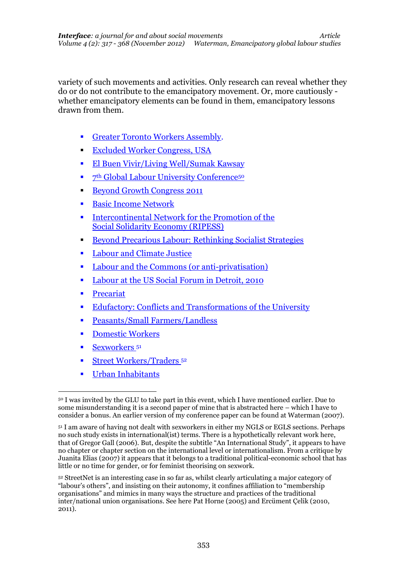variety of such movements and activities. Only research can reveal whether they do or do not contribute to the emancipatory movement. Or, more cautiously whether emancipatory elements can be found in them, emancipatory lessons drawn from them.

- [Greater Toronto Workers Assembly.](http://www.unionbook.org/profiles/blogs/canadian-example-of-social)
- [Excluded Worker Congress, USA](http://www.excludedworkerscongress.org/images/ewcconferencedetails.pdf)
- [El Buen Vivir/Living Well/Sumak Kawsay](http://www.kaosenlared.net/noticia/sumak-kawsay-suma-qamana-buen-vivir)
- 7th [Global Labour University Conference](http://www.kaosenlared.net/noticia/sumak-kawsay-suma-qamana-buen-vivir)<sup>50</sup>
- [Beyond Growth Congress 2011](http://www.feasta.org/2011/06/10/what-could-a-post-growth-society-look-like-and-how-should-we-prepare-for-it/)
- [Basic Income Network](http://www.basicincome.org/bien/aboutbien.html#ec)
- [Intercontinental Network for the Promotion of the](http://ripess.org/ripess-en.html)  [Social Solidarity Economy \(RIPESS\)](http://ripess.org/ripess-en.html)
- [Beyond Precarious Labour: Rethinking Socialist Strategies](http://ripess.org/ripess-en.html)
- [Labour and Climate Justice](http://climateandcapitalism.com/?p=4000,%20http://www.internationalviewpoint.org/spip.php?article1642&var_recherche=labour%20climate)
- [Labour and the Commons \(or anti-privatisation\)](http://climateandcapitalism.com/?p=4000,%20http://www.internationalviewpoint.org/spip.php?article1642&var_recherche=labour%20climate)
- Labour at the [US Social Forum in Detroit, 2010](http://www.ggjalliance.org/node/459)
- [Precariat](http://www.peoplesassemblies.org/2012/07/proposal-of-international-mobilisation-of-workers-and-precarious-people-december-1st-2012/)
- [Edufactory: Conflicts and Transformations of the University](http://www.peoplesassemblies.org/2012/07/proposal-of-international-mobilisation-of-workers-and-precarious-people-december-1st-2012/)
- **[Peasants/Small Farmers/Landless](http://viacampesina.org/en/index.php)**
- [Domestic Workers](http://en.domesticworkerrights.org/)
- [Sexworkers](http://en.domesticworkerrights.org/) <sup>51</sup>

.

- [Street Workers/Traders](http://alainet.org/active/view_docs_en.php3?overview=Social&sub=Laboral) <sup>52</sup>
- [Urban Inhabitants](http://alainet.org/active/view_docs_en.php3?overview=Social&sub=Laboral)

<sup>50</sup> I was invited by the GLU to take part in this event, which I have mentioned earlier. Due to some misunderstanding it is a second paper of mine that is abstracted here – which I have to consider a bonus. An earlier version of my conference paper can be found at Waterman (2007).

<sup>51</sup> I am aware of having not dealt with sexworkers in either my NGLS or EGLS sections. Perhaps no such study exists in international(ist) terms. There is a hypothetically relevant work here, that of Gregor Gall (2006). But, despite the subtitle "An International Study", it appears to have no chapter or chapter section on the international level or internationalism. From a critique by Juanita Elias (2007) it appears that it belongs to a traditional political-economic school that has little or no time for gender, or for feminist theorising on sexwork.

<sup>52</sup> StreetNet is an interesting case in so far as, whilst clearly articulating a major category of "labour's others", and insisting on their autonomy, it confines affiliation to "membership organisations" and mimics in many ways the structure and practices of the traditional inter/national union organisations. See here Pat Horne (2005) and Ercüment Çelik (2010, 2011).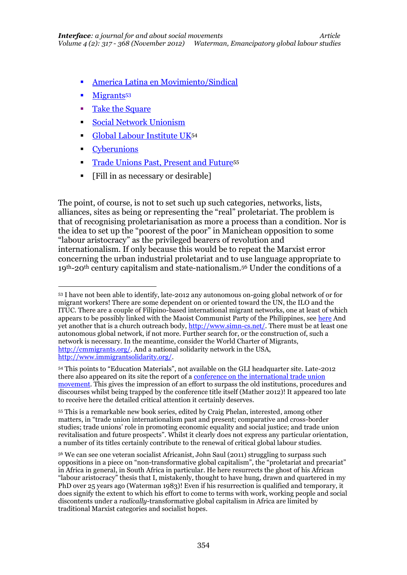- America Latina en Movimiento/Sindical
- [Migrants](http://www.december18.net/international-migrants-day)<sup>53</sup>
- [Take the Square](http://takethesquare.net/)
- [Social Network Unionism](http://snuproject.wordpress.com/)
- [Global Labour Institute UK](http://global-labour.net/education-materials/)<sup>54</sup>
- **[Cyberunions](http://cyberunions.org/)**

.

- [Trade Unions Past, Present and Future](http://www.peterlang.com/index.cfm?event=cmp.ccc.seitenstruktur.detailseiten&seitentyp=series&pk=1481)<sup>55</sup>
- [Fill in as necessary or desirable]

The point, of course, is not to set such up such categories, networks, lists, alliances, sites as being or representing the "real" proletariat. The problem is that of recognising proletarianisation as more a process than a condition. Nor is the idea to set up the "poorest of the poor" in Manichean opposition to some "labour aristocracy" as the privileged bearers of revolution and internationalism. If only because this would be to repeat the Marxist error concerning the urban industrial proletariat and to use language appropriate to 19th-20th century capitalism and state-nationalism.<sup>56</sup> Under the conditions of a

<sup>53</sup> I have not been able to identify, late-2012 any autonomous on-going global network of or for migrant workers! There are some dependent on or oriented toward the UN, the ILO and the ITUC. There are a couple of Filipino-based international migrant networks, one at least of which appears to be possibly linked with the Maoist Communist Party of the Philippines, see [here](http://www.ilps-web.com/index.php?option=com_content&task=view&id=2150&Itemid=38) And yet another that is a church outreach body, [http://www.simn-cs.net/.](http://www.simn-cs.net/) There must be at least one autonomous global network, if not more. Further search for, or the construction of, such a network is necessary. In the meantime, consider the World Charter of Migrants, [http://cmmigrants.org/.](http://cmmigrants.org/) And a national solidarity network in the USA, [http://www.immigrantsolidarity.org/.](http://www.immigrantsolidarity.org/)

<sup>54</sup> This points to "Education Materials", not available on the GLI headquarter site. Late-2012 there also appeared on its site the report of a conference on the international trade union [movement.](http://issuu.com/glinetwork/docs/gli_iss_2012_report_booklet_format) This gives the impression of an effort to surpass the old institutions, procedures and discourses whilst being trapped by the conference title itself (Mather 2012)! It appeared too late to receive here the detailed critical attention it certainly deserves.

<sup>55</sup> This is a remarkable new book series, edited by Craig Phelan, interested, among other matters, in "trade union internationalism past and present; comparative and cross-border studies; trade unions' role in promoting economic equality and social justice; and trade union revitalisation and future prospects". Whilst it clearly does not express any particular orientation, a number of its titles certainly contribute to the renewal of critical global labour studies.

<sup>56</sup> We can see one veteran socialist Africanist, John Saul (2011) struggling to surpass such oppositions in a piece on "non-transformative global capitalism", the "proletariat and precariat" in Africa in general, in South Africa in particular. He here resurrects the ghost of his African "labour aristocracy" thesis that I, mistakenly, thought to have hung, drawn and quartered in my PhD over 25 years ago (Waterman 1983)! Even if his resurrection is qualified and temporary, it does signify the extent to which his effort to come to terms with work, working people and social discontents under a *radically-*transformative global capitalism in Africa are limited by traditional Marxist categories and socialist hopes.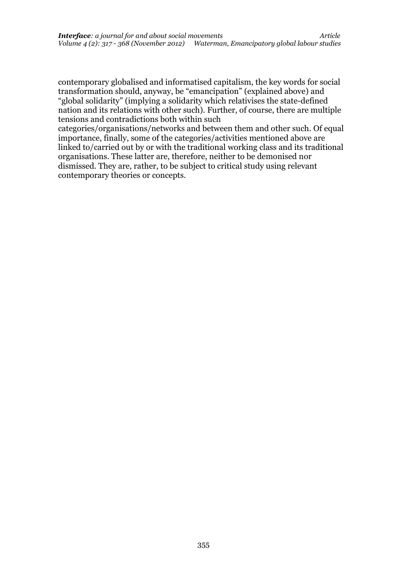contemporary globalised and informatised capitalism, the key words for social transformation should, anyway, be "emancipation" (explained above) and "global solidarity" (implying a solidarity which relativises the state-defined nation and its relations with other such). Further, of course, there are multiple tensions and contradictions both within such

categories/organisations/networks and between them and other such. Of equal importance, finally, some of the categories/activities mentioned above are linked to/carried out by or with the traditional working class and its traditional organisations. These latter are, therefore, neither to be demonised nor dismissed. They are, rather, to be subject to critical study using relevant contemporary theories or concepts.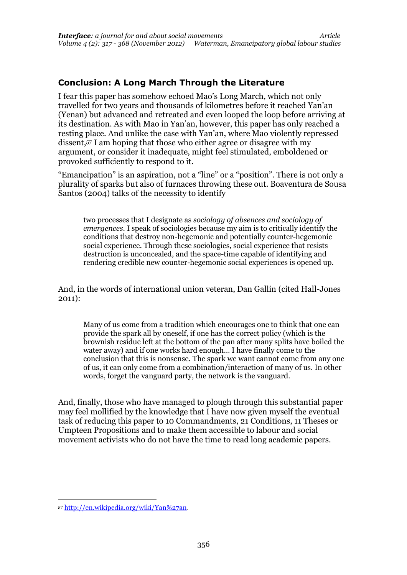## **Conclusion: A Long March Through the Literature**

I fear this paper has somehow echoed Mao's Long March, which not only travelled for two years and thousands of kilometres before it reached Yan'an (Yenan) but advanced and retreated and even looped the loop before arriving at its destination. As with Mao in Yan'an, however, this paper has only reached a resting place. And unlike the case with Yan'an, where Mao violently repressed dissent, <sup>57</sup> I am hoping that those who either agree or disagree with my argument, or consider it inadequate, might feel stimulated, emboldened or provoked sufficiently to respond to it.

"Emancipation" is an aspiration, not a "line" or a "position". There is not only a plurality of sparks but also of furnaces throwing these out. Boaventura de Sousa Santos (2004) talks of the necessity to identify

two processes that I designate as *sociology of absences and sociology of emergences*. I speak of sociologies because my aim is to critically identify the conditions that destroy non-hegemonic and potentially counter-hegemonic social experience. Through these sociologies, social experience that resists destruction is unconcealed, and the space-time capable of identifying and rendering credible new counter-hegemonic social experiences is opened up.

And, in the words of international union veteran, Dan Gallin (cited Hall-Jones 2011):

Many of us come from a tradition which encourages one to think that one can provide the spark all by oneself, if one has the correct policy (which is the brownish residue left at the bottom of the pan after many splits have boiled the water away) and if one works hard enough… I have finally come to the conclusion that this is nonsense. The spark we want cannot come from any one of us, it can only come from a combination/interaction of many of us. In other words, forget the vanguard party, the network is the vanguard.

And, finally, those who have managed to plough through this substantial paper may feel mollified by the knowledge that I have now given myself the eventual task of reducing this paper to 10 Commandments, 21 Conditions, 11 Theses or Umpteen Propositions and to make them accessible to labour and social movement activists who do not have the time to read long academic papers.

<u>.</u>

<sup>57</sup> <http://en.wikipedia.org/wiki/Yan%27an>.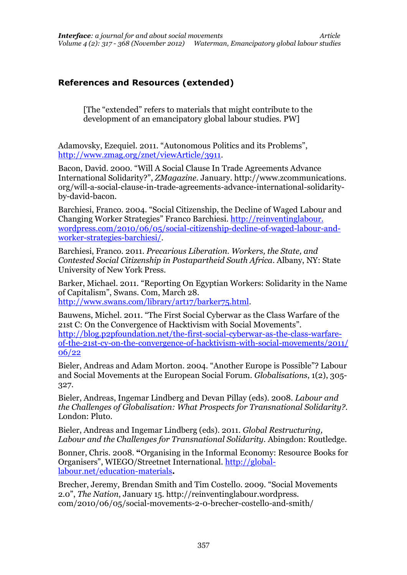## **References and Resources (extended)**

[The "extended" refers to materials that might contribute to the development of an emancipatory global labour studies. PW]

Adamovsky, Ezequiel. 2011. "Autonomous Politics and its Problems", [http://www.zmag.org/znet/viewArticle/3911.](http://www.zmag.org/znet/viewArticle/3911)

Bacon, David. 2000. "Will A Social Clause In Trade Agreements Advance International Solidarity?", *ZMagazine*. January. http://www.zcommunications. org/will-a-social-clause-in-trade-agreements-advance-international-solidarityby-david-bacon.

Barchiesi, Franco. 2004. "Social Citizenship, the Decline of Waged Labour and Changing Worker Strategies" Franco Barchiesi. [http://reinventinglabour.](http://reinventinglabour.wordpress.com/2010/06/05/social-citizenship-decline-of-waged-labour-and-worker-strategies-barchiesi/) [wordpress.com/2010/06/05/social-citizenship-decline-of-waged-labour-and](http://reinventinglabour.wordpress.com/2010/06/05/social-citizenship-decline-of-waged-labour-and-worker-strategies-barchiesi/)[worker-strategies-barchiesi/.](http://reinventinglabour.wordpress.com/2010/06/05/social-citizenship-decline-of-waged-labour-and-worker-strategies-barchiesi/)

Barchiesi, Franco. 2011. *Precarious Liberation. Workers, the State, and Contested Social Citizenship in Postapartheid South Africa*. Albany, NY: State University of New York Press.

Barker, Michael. 2011. "Reporting On Egyptian Workers: Solidarity in the Name of Capitalism", Swans. Com, March 28. [http://www.swans.com/library/art17/barker75.html.](http://www.swans.com/library/art17/barker75.html)

Bauwens, Michel. 2011. "The First Social Cyberwar as the Class Warfare of the 21st C: On the Convergence of Hacktivism with Social Movements". [http://blog.p2pfoundation.net/the-first-social-cyberwar-as-the-class-warfare](http://blog.p2pfoundation.net/the-first-social-cyberwar-as-the-class-warfare-of-the-21st-cy-on-the-convergence-of-hacktivism-with-social-movements/2011/%2006/22)[of-the-21st-cy-on-the-convergence-of-hacktivism-with-social-movements/2011/](http://blog.p2pfoundation.net/the-first-social-cyberwar-as-the-class-warfare-of-the-21st-cy-on-the-convergence-of-hacktivism-with-social-movements/2011/%2006/22)  [06/22](http://blog.p2pfoundation.net/the-first-social-cyberwar-as-the-class-warfare-of-the-21st-cy-on-the-convergence-of-hacktivism-with-social-movements/2011/%2006/22)

Bieler, Andreas and Adam Morton. 2004. "Another Europe is Possible"? Labour and Social Movements at the European Social Forum. *Globalisations*, 1(2), 305- 327.

Bieler, Andreas, Ingemar Lindberg and Devan Pillay (eds). 2008. *Labour and the Challenges of Globalisation: What Prospects for Transnational Solidarity?.* London: Pluto.

Bieler, Andreas and Ingemar Lindberg (eds). 2011. *Global Restructuring, Labour and the Challenges for Transnational Solidarity.* Abingdon: Routledge.

Bonner, Chris. 2008. **"**Organising in the Informal Economy: Resource Books for Organisers", WIEGO/Streetnet International. [http://global](http://global-labour.net/education-materials)[labour.net/education-materials](http://global-labour.net/education-materials)**.** 

Brecher, Jeremy, Brendan Smith and Tim Costello. 2009. "Social Movements 2.0", *The Nation*, January 15. http://reinventinglabour.wordpress. com/2010/06/05/social-movements-2-0-brecher-costello-and-smith/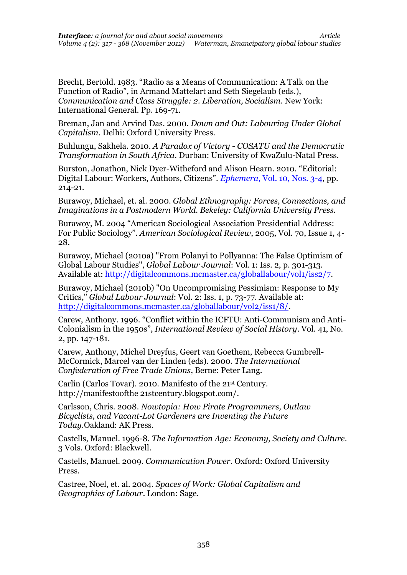Brecht, Bertold. 1983. "Radio as a Means of Communication: A Talk on the Function of Radio", in Armand Mattelart and Seth Siegelaub (eds.), *Communication and Class Struggle: 2. Liberation, Socialism*. New York: International General. Pp. 169-71.

Breman, Jan and Arvind Das. 2000. *Down and Out: Labouring Under Global Capitalism*. Delhi: Oxford University Press.

Buhlungu, Sakhela. 2010. *A Paradox of Victory - COSATU and the Democratic Transformation in South Africa.* Durban: University of KwaZulu-Natal Press.

Burston, Jonathon, Nick Dyer-Witheford and Alison Hearn. 2010. "Editorial: Digital Labour: Workers, Authors, Citizens". *Ephemera*[, Vol. 10, Nos. 3-4,](http://www.ephemeraweb.org/journal/10.../10-3ephemeranov10.pdf) pp. 214-21.

Burawoy, Michael, et. al. 2000. *Global Ethnography: Forces, Connections, and Imaginations in a Postmodern World. Bekeley: California University Press.*

Burawoy, M. 2004 "American Sociological Association Presidential Address: For Public Sociology". *American Sociological Review*, 2005, Vol. 70, Issue 1, 4- 28.

Burawoy, Michael (2010a) "From Polanyi to Pollyanna: The False Optimism of Global Labour Studies", *Global Labour Journal*: Vol. 1: Iss. 2, p. 301-313. Available at: [http://digitalcommons.mcmaster.ca/globallabour/vol1/iss2/7.](http://digitalcommons.mcmaster.ca/globallabour/vol1/iss2/7)

Burawoy, Michael (2010b) "On Uncompromising Pessimism: Response to My Critics," *Global Labour Journal*: Vol. 2: Iss. 1, p. 73-77. Available at: [http://digitalcommons.mcmaster.ca/globallabour/vol2/iss1/8/.](http://digitalcommons.mcmaster.ca/globallabour/vol2/iss1/8/)

Carew, Anthony. 1996. "Conflict within the ICFTU: Anti-Communism and Anti-Colonialism in the 1950s", *International Review of Social History*. Vol. 41, No. 2, pp. 147-181.

Carew, Anthony, Michel Dreyfus, Geert van Goethem, Rebecca Gumbrell-McCormick, Marcel van der Linden (eds). 2000. *The International Confederation of Free Trade Unions*, Berne: Peter Lang.

Carlín (Carlos Tovar). 2010. Manifesto of the 21st Century. http://manifestoofthe 21stcentury.blogspot.com/.

Carlsson, Chris. 2008. *Nowtopia: How Pirate Programmers, Outlaw Bicyclists, and Vacant-Lot Gardeners are Inventing the Future Today*.Oakland: AK Press.

Castells, Manuel. 1996-8. *The Information Age: Economy, Society and Culture*. 3 Vols. Oxford: Blackwell.

Castells, Manuel. 2009. *Communication Power*. Oxford: Oxford University Press.

Castree, Noel, et. al. 2004. *Spaces of Work: Global Capitalism and Geographies of Labour*. London: Sage.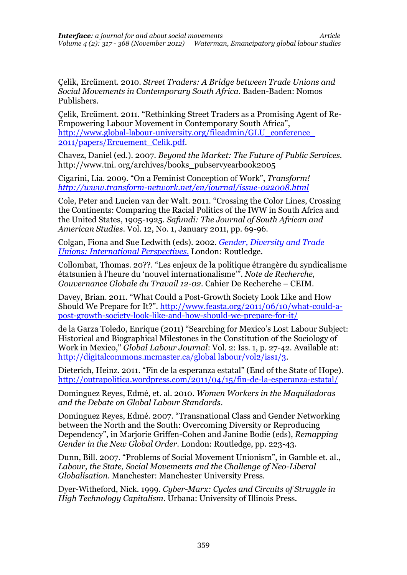Çelik, Ercüment. 2010. *Street Traders: A Bridge between Trade Unions and Social Movements in Contemporary South Africa*. Baden-Baden: Nomos Publishers.

Çelik, Ercüment. 2011. "Rethinking Street Traders as a Promising Agent of Re-Empowering Labour Movement in Contemporary South Africa", http://www.global-labour-university.org/fileadmin/GLU\_conference [2011/papers/Ercuement\\_Celik.pdf.](http://www.global-labour-university.org/fileadmin/GLU_conference_%202011/papers/Ercuement_Celik.pdf)

Chavez, Daniel (ed.). 2007. *Beyond the Market: The Future of Public Services.*  http://www.tni. org/archives/books\_pubservyearbook2005

Cigarini, Lia. 2009. "On a Feminist Conception of Work", *Transform! <http://www.transform-network.net/en/journal/issue-022008.html>*

Cole, Peter and Lucien van der Walt. 2011. "Crossing the Color Lines, Crossing the Continents: Comparing the Racial Politics of the IWW in South Africa and the United States, 1905-1925. *Safundi: The Journal of South African and American Studies*. Vol. 12, No. 1, January 2011, pp. 69-96.

Colgan, Fiona and Sue Ledwith (eds). 2002. *[Gender, Diversity and Trade](http://www.amazon.co.uk/Gender-Diversity-Trade-Unions-International/dp/0415230217/ref=sr_1_1?ie=UTF8&s=books&qid=1249133234&sr=1-1)  [Unions: International Perspectives](http://www.amazon.co.uk/Gender-Diversity-Trade-Unions-International/dp/0415230217/ref=sr_1_1?ie=UTF8&s=books&qid=1249133234&sr=1-1)*. London: Routledge.

Collombat, Thomas. 20??. "Les enjeux de la politique étrangère du syndicalisme étatsunien à l'heure du 'nouvel internationalisme'". *Note de Recherche, Gouvernance Globale du Travail 12-02.* Cahier De Recherche – CEIM.

Davey, Brian. 2011. "What Could a Post-Growth Society Look Like and How Should We Prepare for It?". [http://www.feasta.org/2011/06/10/what-could-a](http://www.feasta.org/2011/06/10/what-could-a-post-growth-society-look-like-and-how-should-we-prepare-for-it/)[post-growth-society-look-like-and-how-should-we-prepare-for-it/](http://www.feasta.org/2011/06/10/what-could-a-post-growth-society-look-like-and-how-should-we-prepare-for-it/)

de la Garza Toledo, Enrique (2011) "Searching for Mexico's Lost Labour Subject: Historical and Biographical Milestones in the Constitution of the Sociology of Work in Mexico," *Global Labour Journal*: Vol. 2: Iss. 1, p. 27-42. Available at: [http://digitalcommons.mcmaster.ca/global labour/vol2/iss1/3.](http://digitalcommons.mcmaster.ca/global%20labour/vol2/iss1/3)

Dieterich, Heinz. 2011. "Fin de la esperanza estatal" (End of the State of Hope). <http://outrapolitica.wordpress.com/2011/04/15/fin-de-la-esperanza-estatal/>

Dominguez Reyes, Edmé, et. al. 2010. *Women Workers in the Maquiladoras and the Debate on Global Labour Standards*.

Dominguez Reyes, Edmé. 2007. "Transnational Class and Gender Networking between the North and the South: Overcoming Diversity or Reproducing Dependency", in Marjorie Griffen-Cohen and Janine Bodie (eds), *Remapping Gender in the New Global Order*. London: Routledge, pp. 223-43.

Dunn, Bill. 2007. "Problems of Social Movement Unionism", in Gamble et. al., *Labour, the State, Social Movements and the Challenge of Neo-Liberal Globalisation.* Manchester: Manchester University Press.

Dyer-Witheford, Nick. 1999. *Cyber-Marx: Cycles and Circuits of Struggle in High Technology Capitalism*. Urbana: University of Illinois Press.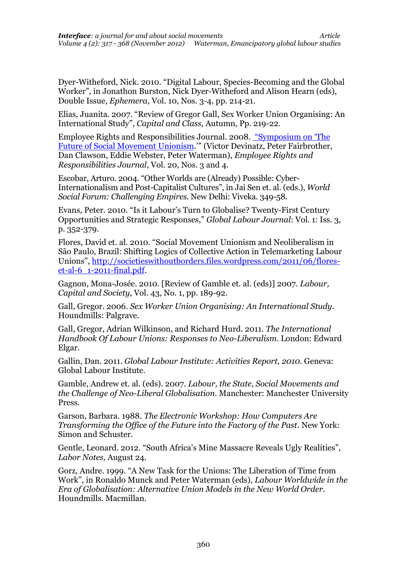Dyer-Witheford, Nick. 2010. "Digital Labour, Species-Becoming and the Global Worker", in Jonathon Burston, Nick Dyer-Witheford and Alison Hearn (eds), Double Issue, *Ephemera*, Vol. 10, Nos. 3-4, pp. 214-21.

Elias, Juanita. 2007. "Review of Gregor Gall, Sex Worker Union Organising: An International Study", *Capital and Class,* Autumn, Pp. 219-22.

Employee Rights and Responsibilities Journal. 2008. ["Symposium on '](http://www.springerlink.com/content/91290436275214w4/?p=1edb947d67d7446fa68539724b90c1a3&pi=5)The [Future of Social Movement Unionism](http://www.springerlink.com/content/91290436275214w4/?p=1edb947d67d7446fa68539724b90c1a3&pi=5).'" (Victor Devinatz, Peter Fairbrother, Dan Clawson, Eddie Webster, Peter Waterman), *Employee Rights and Responsibilities Journal*, Vol. 20, Nos. 3 and 4.

Escobar, Arturo. 2004. "Other Worlds are (Already) Possible: Cyber-Internationalism and Post-Capitalist Cultures", in Jai Sen et. al. (eds.), *World Social Forum: Challenging Empires.* New Delhi: Viveka. 349-58.

Evans, Peter. 2010. "Is it Labour's Turn to Globalise? Twenty-First Century Opportunities and Strategic Responses," *Global Labour Journal*: Vol. 1: Iss. 3, p. 352-379.

Flores, David et. al. 2010. "Social Movement Unionism and Neoliberalism in São Paulo, Brazil: Shifting Logics of Collective Action in Telemarketing Labour Unions", [http://societieswithoutborders.files.wordpress.com/2011/06/flores](http://societieswithoutborders.files.wordpress.com/2011/06/flores-et-al-6_1-2011-final.pdf)[et-al-6\\_1-2011-final.pdf.](http://societieswithoutborders.files.wordpress.com/2011/06/flores-et-al-6_1-2011-final.pdf)

Gagnon, Mona-Josée. 2010. [Review of Gamble et. al. (eds)] 2007. *Labour, Capital and Society*, Vol. 43, No. 1, pp. 189-92.

Gall, Gregor. 2006. *Sex Worker Union Organising: An International Study.*  Houndmills: Palgrave.

Gall, Gregor, Adrian Wilkinson, and Richard Hurd. 2011. *The International Handbook Of Labour Unions: Responses to Neo-Liberalism*. London: Edward Elgar.

Gallin, Dan. 2011. *Global Labour Institute: Activities Report, 2010.* Geneva: Global Labour Institute.

Gamble, Andrew et. al. (eds). 2007. *Labour, the State, Social Movements and the Challenge of Neo-Liberal Globalisation.* Manchester: Manchester University Press.

Garson, Barbara. 1988. *The Electronic Workshop: How Computers Are Transforming the Office of the Future into the Factory of the Past*. New York: Simon and Schuster.

Gentle, Leonard. 2012. "South Africa's Mine Massacre Reveals Ugly Realities", *Labor Notes,* August 24.

Gorz, Andre. 1999. "A New Task for the Unions: The Liberation of Time from Work", in Ronaldo Munck and Peter Waterman (eds), *Labour Worldwide in the Era of Globalisation: Alternative Union Models in the New World Order.*  Houndmills. Macmillan*.*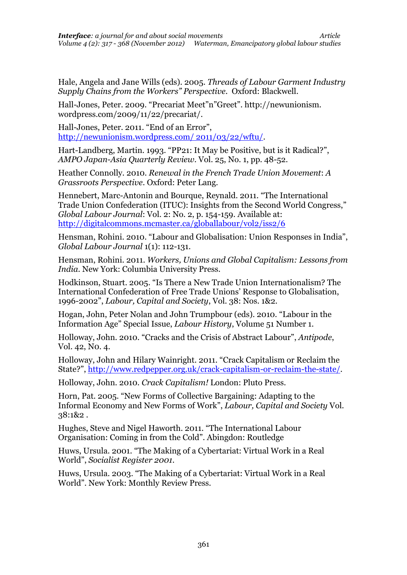Hale, Angela and Jane Wills (eds). 2005. *Threads of Labour Garment Industry Supply Chains from the Workers" Perspective.* Oxford: Blackwell.

Hall-Jones, Peter. 2009. "Precariat Meet"n"Greet". http://newunionism. wordpress.com/2009/11/22/precariat/.

Hall-Jones, Peter. 2011. "End of an Error", [http://newunionism.wordpress.com/ 2011/03/22/wftu/.](http://newunionism.wordpress.com/%202011/03/22/wftu/)

Hart-Landberg, Martin. 1993. "PP21: It May be Positive, but is it Radical?", *AMPO Japan-Asia Quarterly Review*. Vol. 25, No. 1, pp. 48-52.

Heather Connolly. 2010. *[Renewal in the French Trade Union Movement](http://www.peterlang.com/index.cfm?event=cmp.ccc.seitenstruktur.detailseiten&seitentyp=produkt&pk=54458&cid=5&concordeid=430101)*: *A Grassroots Perspective*. Oxford: Peter Lang.

Hennebert, Marc-Antonin and Bourque, Reynald. 2011. "The International Trade Union Confederation (ITUC): Insights from the Second World Congress," *Global Labour Journal*: Vol. 2: No. 2, p. 154-159. Available at: <http://digitalcommons.mcmaster.ca/globallabour/vol2/iss2/6>

Hensman, Rohini. 2010. "Labour and Globalisation: Union Responses in India", *Global Labour Journal* 1(1): 112-131.

Hensman, Rohini. 2011. *Workers, Unions and Global Capitalism: Lessons from India.* New York: Columbia University Press.

Hodkinson, Stuart. 2005. "Is There a New Trade Union Internationalism? The International Confederation of Free Trade Unions' Response to Globalisation, 1996-2002", *Labour, Capital and Society*, Vol. 38: Nos. 1&2.

Hogan, John, Peter Nolan and John Trumpbour (eds). 2010. "Labour in the Information Age" Special Issue, *Labour History*, Volume 51 Number 1.

Holloway, John. 2010. "Cracks and the Crisis of Abstract Labour", *[Antipode](http://onlinelibrary.wiley.com/journal/10.1111/%28ISSN%291467-8330)*, [Vol. 42, N0. 4.](http://onlinelibrary.wiley.com/doi/10.1111/anti.2010.42.issue-4/issuetoc)

Holloway, John and Hilary Wainright. 2011. "Crack Capitalism or Reclaim the State?", [http://www.redpepper.org.uk/crack-capitalism-or-reclaim-the-state/.](http://www.redpepper.org.uk/crack-capitalism-or-reclaim-the-state/)

Holloway, John. 2010. *Crack Capitalism!* London: Pluto Press.

Horn, Pat. 2005. "New Forms of Collective Bargaining: Adapting to the Informal Economy and New Forms of Work", *Labour, Capital and Society* Vol. 38:1&2 .

Hughes, Steve and Nigel Haworth. 2011. "The International Labour Organisation: Coming in from the Cold". Abingdon: Routledge

Huws, Ursula. 2001. "The Making of a Cybertariat: Virtual Work in a Real World", *Socialist Register 2001*.

Huws, Ursula. 2003. "The Making of a Cybertariat: Virtual Work in a Real World". New York: Monthly Review Press.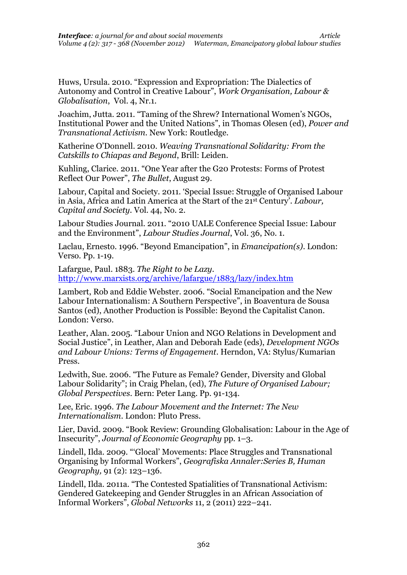Huws, Ursula. 2010. "Expression and Expropriation: The Dialectics of Autonomy and Control in Creative Labour", *Work Organisation, Labour & Globalisation*, Vol. 4, Nr.1.

Joachim, Jutta. 2011. "Taming of the Shrew? International Women's NGOs, Institutional Power and the United Nations", in Thomas Olesen (ed), *Power and Transnational Activism*. New York: Routledge.

Katherine O'Donnell. 2010. *Weaving Transnational Solidarity: From the Catskills to Chiapas and Beyond*, Brill: Leiden.

Kuhling, Clarice. 2011. "One Year after the G20 Protests: Forms of Protest Reflect Our Power", *The Bullet*, August 29.

Labour, Capital and Society. 2011. 'Special Issue: Struggle of Organised Labour in Asia, Africa and Latin America at the Start of the 21st Century'. *Labour, Capital and Society.* Vol. 44, No. 2.

Labour Studies Journal. 2011. "2010 UALE Conference Special Issue: Labour and the Environment", *Labour Studies Journal*, Vol. 36, No. 1.

Laclau, Ernesto. 1996. "Beyond Emancipation", in *Emancipation(s)*. London: Verso. Pp. 1-19.

Lafargue, Paul. 1883. *The Right to be Lazy*. <http://www.marxists.org/archive/lafargue/1883/lazy/index.htm>

Lambert, Rob and Eddie Webster. 2006. "Social Emancipation and the New Labour Internationalism: A Southern Perspective", in Boaventura de Sousa Santos (ed), Another Production is Possible: Beyond the Capitalist Canon. London: Verso.

Leather, Alan. 2005. "Labour Union and NGO Relations in Development and Social Justice", in Leather, Alan and Deborah Eade (eds), *Development NGOs and Labour Unions: Terms of Engagement*. Herndon, VA: Stylus/Kumarian Press.

Ledwith, Sue. 2006. "The Future as Female? Gender, Diversity and Global Labour Solidarity"; in Craig Phelan, (ed), *The Future of Organised Labour; Global Perspectives*. Bern: Peter Lang. Pp. 91-134.

Lee, Eric. 1996. *The Labour Movement and the Internet: The New Internationalism*. London: Pluto Press.

Lier, David. 2009. "Book Review: Grounding Globalisation: Labour in the Age of Insecurity", *Journal of Economic Geography* pp. 1–3.

Lindell, Ilda. 2009. "'Glocal' Movements: Place Struggles and Transnational Organising by Informal Workers", *Geografiska Annaler:Series B, Human Geography,* 91 (2): 123–136.

Lindell, Ilda. 2011a. "The Contested Spatialities of Transnational Activism: Gendered Gatekeeping and Gender Struggles in an African Association of Informal Workers", *Global Networks* 11, 2 (2011) 222–241.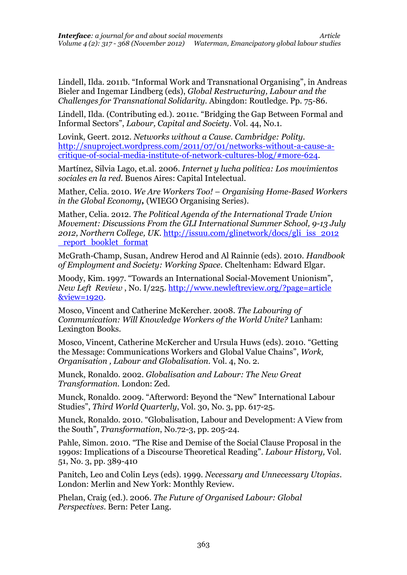Lindell, Ilda. 2011b. "Informal Work and Transnational Organising", in Andreas Bieler and Ingemar Lindberg (eds), *Global Restructuring, Labour and the Challenges for Transnational Solidarity.* Abingdon: Routledge. Pp. 75-86.

Lindell, Ilda. (Contributing ed.). 2011c. "Bridging the Gap Between Formal and Informal Sectors", *Labour, Capital and Society*. Vol. 44, No.1.

Lovink, Geert. 2012. *Networks without a Cause. Cambridge: Polity.* [http://snuproject.wordpress.com/2011/07/01/networks-without-a-cause-a](http://snuproject.wordpress.com/2011/07/01/networks-without-a-cause-a-critique-of-social-media-institute-of-network-cultures-blog/#more-624)[critique-of-social-media-institute-of-network-cultures-blog/#more-624.](http://snuproject.wordpress.com/2011/07/01/networks-without-a-cause-a-critique-of-social-media-institute-of-network-cultures-blog/#more-624)

Martínez, Silvia Lago, et.al. 2006. *Internet y lucha política: Los movimientos sociales en la red.* Buenos Aires: Capital Intelectual.

Mather, Celia. 2010. *We Are Workers Too! – [Organising Home-Based Workers](http://global-labour.net/documents/We-are-workers-too.pdf)  [in the Global Economy](http://global-labour.net/documents/We-are-workers-too.pdf),* (WIEGO Organising Series).

Mather, Celia. 2012. *The Political Agenda of the International Trade Union Movement: Discussions From the GLI International Summer School, 9-13 July 2012, Northern College, UK.* [http://issuu.com/glinetwork/docs/gli\\_iss\\_2012](http://issuu.com/glinetwork/docs/gli_iss_2012%20_report_booklet_format)  [\\_report\\_booklet\\_format](http://issuu.com/glinetwork/docs/gli_iss_2012%20_report_booklet_format)

McGrath-Champ, Susan, Andrew Herod and Al Rainnie (eds). 2010. *Handbook of Employment and Society: Working Space.* Cheltenham: Edward Elgar.

Moody, Kim. 1997. "Towards an International Social-Movement Unionism", *[New Left Review](http://www.newleftreview.org/?issue=221)* , No. I/225. [http://www.newleftreview.org/?page=article](http://www.newleftreview.org/?page=article%20&view=1920)  [&view=1920.](http://www.newleftreview.org/?page=article%20&view=1920)

Mosco, Vincent and Catherine McKercher. 2008. *The Labouring of Communication: Will Knowledge Workers of the World Unite?* Lanham: Lexington Books.

Mosco, Vincent, Catherine McKercher and Ursula Huws (eds). 2010. "Getting the Message: Communications Workers and Global Value Chains", *Work, Organisation , Labour and Globalisation.* Vol. 4, No. 2.

Munck, Ronaldo. 2002. *[Globalisation and Labour: The New Great](http://www.amazon.co.uk/Globalisation-Labour-New-Great-Transformation/dp/1842770713/ref=sr_1_1?ie=UTF8&s=books&qid=1247758653&sr=1-1)  [Transformation.](http://www.amazon.co.uk/Globalisation-Labour-New-Great-Transformation/dp/1842770713/ref=sr_1_1?ie=UTF8&s=books&qid=1247758653&sr=1-1)* London: Zed.

Munck, Ronaldo. 2009. "Afterword: Beyond the "New" International Labour Studies", *Third World Quarterly*, Vol. 30, No. 3, pp. 617-25.

Munck, Ronaldo. 2010. "Globalisation, Labour and Development: A View from the South", *Transformation*, No.72-3, pp. 205-24.

Pahle, Simon. 2010. "The Rise and Demise of the Social Clause Proposal in the 1990s: Implications of a Discourse Theoretical Reading". *Labour History,* Vol. 51, No. 3, pp. 389-410

Panitch, Leo and Colin Leys (eds). 1999*. Necessary and Unnecessary Utopias*. London: Merlin and New York: Monthly Review.

Phelan, Craig (ed.). 2006. *The Future of Organised Labour: Global Perspectives*. Bern: Peter Lang.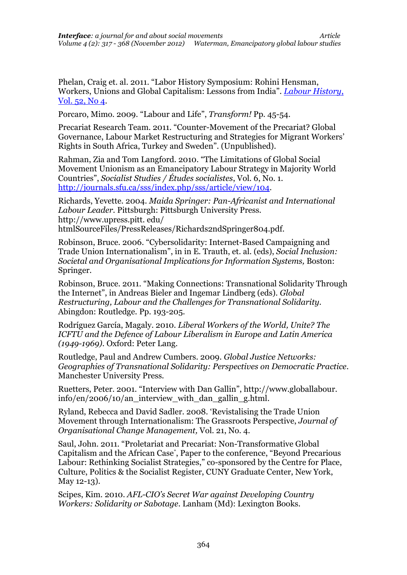[Phelan, Craig](http://eprints.kingston.ac.uk/view/creators/9103.html) et. al. 2011. "Labor History Symposium: Rohini Hensman, Workers, Unions and Global Capitalism: Lessons from India". *[Labour History](http://www.tandfonline.com/doi/pdf/10.1080/0023656X.2011.632516)*, [Vol. 52, No 4.](http://www.tandfonline.com/doi/pdf/10.1080/0023656X.2011.632516)

Porcaro, Mimo. 2009. "Labour and Life", *Transform!* Pp. 45-54.

Precariat Research Team. 2011. "Counter-Movement of the Precariat? Global Governance, Labour Market Restructuring and Strategies for Migrant Workers' Rights in South Africa, Turkey and Sweden". (Unpublished).

Rahman, Zia and Tom Langford. 2010. "The Limitations of Global Social Movement Unionism as an Emancipatory Labour Strategy in Majority World Countries", *Socialist Studies / Études socialistes*, Vol. 6, No. 1. [http://journals.sfu.ca/sss/index.php/sss/article/view/104.](http://journals.sfu.ca/sss/index.php/sss/article/view/104)

Richards, Yevette. 2004. *Maida Springer: Pan-Africanist and International Labour Leader.* Pittsburgh: Pittsburgh University Press. http://www.upress.pitt. edu/ htmlSourceFiles/PressReleases/Richards2ndSpringer804.pdf.

Robinson, Bruce. 2006. "Cybersolidarity: Internet-Based Campaigning and Trade Union Internationalism", in in E. Trauth, et. al. (eds), *Social Inclusion: Societal and Organisational Implications for Information Systems,* Boston: Springer.

Robinson, Bruce. 2011. "Making Connections: Transnational Solidarity Through the Internet", in Andreas Bieler and Ingemar Lindberg (eds). *Global Restructuring, Labour and the Challenges for Transnational Solidarity.* Abingdon: Routledge. Pp. 193-205.

Rodríguez García, Magaly. 2010. *[Liberal Workers of the World, Unite?](http://www.peterlang.com/index.cfm?event=cmp.ccc.seitenstruktur.detailseiten&seitentyp=produkt&pk=54469&cid=5&concordeid=430112) The ICFTU and the Defence of Labour Liberalism in Europe and Latin America (1949-1969).* Oxford: Peter Lang.

Routledge, Paul and Andrew Cumbers. 2009. *Global Justice Networks: Geographies of Transnational Solidarity: Perspectives on Democratic Practice*. Manchester University Press.

Ruetters, Peter. 2001. "Interview with Dan Gallin", http://www.globallabour. info/en/2006/10/an\_interview\_with\_dan\_gallin\_g.html.

Ryland, Rebecca and David Sadler. 2008. 'Revistalising the Trade Union Movement through Internationalism: The Grassroots Perspective, *Journal of Organisational Change Management,* Vol. 21, No. 4.

Saul, John. 2011. "Proletariat and Precariat: Non-Transformative Global Capitalism and the African Case" , Paper to the conference, "Beyond Precarious Labour: Rethinking Socialist Strategies," co-sponsored by the Centre for Place, Culture, Politics & the Socialist Register, CUNY Graduate Center, New York, May 12-13).

Scipes, Kim. 2010. *AFL-CIO's Secret War against Developing Country Workers: Solidarity or Sabotage*. Lanham (Md): Lexington Books.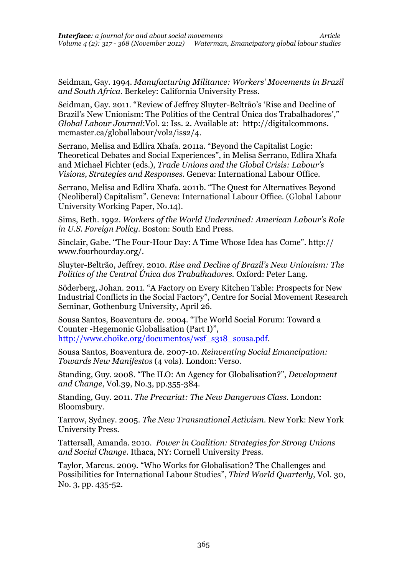Seidman, Gay. 1994. *Manufacturing Militance: Workers' Movements in Brazil and South Africa*. Berkeley: California University Press.

Seidman, Gay. 2011. "Review of Jeffrey Sluyter-Beltrão's 'Rise and Decline of Brazil's New Unionism: The Politics of the Central Única dos Trabalhadores'," *Global Labour Journal*:Vol. 2: Iss. 2. Available at: http://digitalcommons. mcmaster.ca/globallabour/vol2/iss2/4.

Serrano, Melisa and Edlira Xhafa. 2011a. "Beyond the Capitalist Logic: Theoretical Debates and Social Experiences", in Melisa Serrano, Edlira Xhafa and Michael Fichter (eds.), *Trade Unions and the Global Crisis: Labour's Visions, Strategies and Responses*. Geneva: International Labour Office.

Serrano, Melisa and Edlira Xhafa. 2011b. "The Quest for Alternatives Beyond (Neoliberal) Capitalism". Geneva: International Labour Office. (Global Labour University Working Paper, No.14).

Sims, Beth. 1992. *Workers of the World Undermined: American Labour's Role in U.S. Foreign Poli*c*y.* Boston: South End Press.

Sinclair, Gabe. "The Four-Hour Day: A Time Whose Idea has Come". http:// www.fourhourday.org/.

Sluyter-Beltrão, Jeffrey. 2010. *[Rise and Decline of Brazil](http://www.peterlang.com/index.cfm?event=cmp.ccc.seitenstruktur.detailseiten&seitentyp=produkt&pk=54471&cid=5&concordeid=430114)'s New Unionism: The Politics of the Central Única dos Trabalhadores.* Oxford: Peter Lang.

Söderberg, Johan. 2011. "A Factory on Every Kitchen Table: Prospects for New Industrial Conflicts in the Social Factory", Centre for Social Movement Research Seminar, Gothenburg University, April 26.

Sousa Santos, Boaventura de. 2004. "The World Social Forum: Toward a Counter -Hegemonic Globalisation (Part I)", [http://www.choike.org/documentos/wsf\\_s318\\_sousa.pdf.](http://www.choike.org/documentos/wsf_s318_sousa.pdf)

Sousa Santos, Boaventura de. 2007-10. *Reinventing Social Emancipation: Towards New Manifestos* (4 vols). London: Verso.

Standing, Guy. 2008. "The ILO: An Agency for Globalisation?", *Development and Change*, Vol.39, No.3, pp.355-384.

Standing, Guy. 2011. *The Precariat: The New Dangerous Class*. London: Bloomsbury.

Tarrow, Sydney. 2005. *The New Transnational Activism.* New York: New York University Press.

Tattersall, Amanda. 2010*. Power in Coalition: Strategies for Strong Unions and Social Change*. Ithaca, NY: Cornell University Press.

Taylor, Marcus. 2009. "Who Works for Globalisation? The Challenges and Possibilities for International Labour Studies", *Third World Quarterly*, Vol. 30, No. 3, pp. 435-52.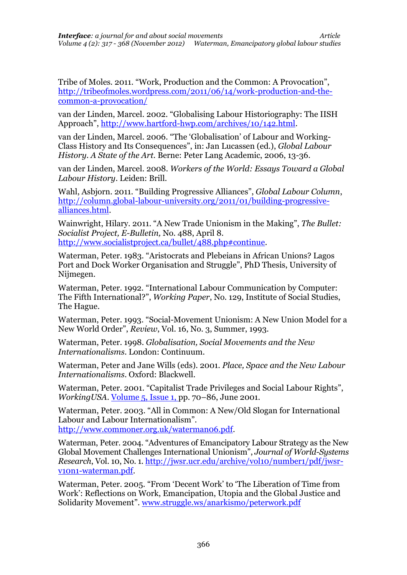Tribe of Moles. 2011. "Work, Production and the Common: A Provocation", [http://tribeofmoles.wordpress.com/2011/06/14/work-production-and-the](http://tribeofmoles.wordpress.com/2011/06/14/work-production-and-the-common-a-provocation/)[common-a-provocation/](http://tribeofmoles.wordpress.com/2011/06/14/work-production-and-the-common-a-provocation/) 

van der Linden, Marcel. 2002. "Globalising Labour Historiography: The IISH Approach", [http://www.hartford-hwp.com/archives/10/142.html.](http://www.hartford-hwp.com/archives/10/142.html)

van der Linden, Marcel. 2006. "The 'Globalisation' of Labour and Working-Class History and Its Consequences", in: Jan Lucassen (ed.), *Global Labour History. A State of the Art.* Berne: Peter Lang Academic, 2006, 13-36.

van der Linden, Marcel. 2008. *Workers of the World: Essays Toward a Global Labour History*. Leiden: Brill.

Wahl, Asbjorn. 2011. "Building Progressive Alliances", *Global Labour Column*, [http://column.global-labour-university.org/2011/01/building-progressive](http://column.global-labour-university.org/2011/01/building-progressive-alliances.html)[alliances.html.](http://column.global-labour-university.org/2011/01/building-progressive-alliances.html)

Wainwright, Hilary. 2011. "A New Trade Unionism in the Making", *The Bullet: Socialist Project, E-Bulletin,* No. 488, April 8. [http://www.socialistproject.ca/bullet/488.php#continue.](http://www.socialistproject.ca/bullet/488.php#continue)

Waterman, Peter. 1983. "Aristocrats and Plebeians in African Unions? Lagos Port and Dock Worker Organisation and Struggle", PhD Thesis, University of Nijmegen.

Waterman, Peter. 1992. "International Labour Communication by Computer: The Fifth International?", *Working Paper*, No. 129, Institute of Social Studies, The Hague.

Waterman, Peter. 1993. "Social-Movement Unionism: A New Union Model for a New World Order", *Review*, [Vol. 16, No. 3, Summer, 1993.](http://www.jstor.org/stable/i40009239)

Waterman, Peter. 1998. *Globalisation, Social Movements and the New Internationalisms*. London: Continuum.

Waterman, Peter and Jane Wills (eds). 2001. *Place, Space and the New Labour Internationalisms*. Oxford: Blackwell.

Waterman, Peter. 2001. "Capitalist Trade Privileges and Social Labour Rights", *WorkingUSA*. [Volume 5, Issue 1, p](http://onlinelibrary.wiley.com/doi/10.1111/j.1743-4580.2001.00070.x/abstract)p. 70–86, June 2001.

Waterman, Peter. 2003. "All in Common: A New/Old Slogan for International Labour and Labour Internationalism". [http://www.commoner.org.uk/waterman06.pdf.](http://www.commoner.org.uk/waterman06.pdf)

Waterman, Peter. 2004. "Adventures of Emancipatory Labour Strategy as the New Global Movement Challenges International Unionism", *Journal of World-Systems Research*, Vol. 10, No. 1[. http://jwsr.ucr.edu/archive/vol10/number1/pdf/jwsr](http://jwsr.ucr.edu/archive/vol10/number1/pdf/jwsr-v10n1-waterman.pdf)[v10n1-waterman.pdf.](http://jwsr.ucr.edu/archive/vol10/number1/pdf/jwsr-v10n1-waterman.pdf)

Waterman, Peter. 2005. "From 'Decent Work' to 'The Liberation of Time from Work': Reflections on Work, Emancipation, Utopia and the Global Justice and Solidarity Movement". [www.struggle.ws/anarkismo/peterwork.pdf](http://www.struggle.ws/anarkismo/peterwork.pdf)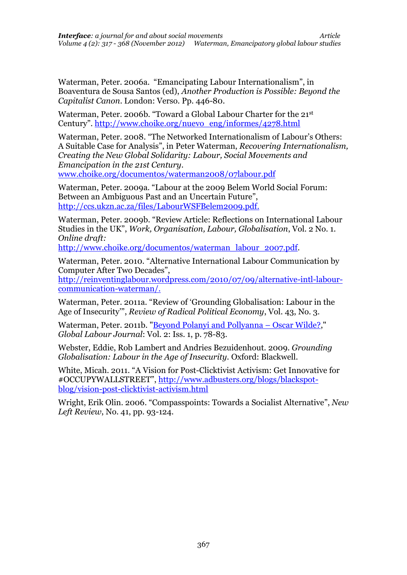Waterman, Peter. 2006a. "Emancipating Labour Internationalism", in Boaventura de Sousa Santos (ed), *Another Production is Possible: Beyond the Capitalist Canon*. London: Verso. Pp. 446-80.

Waterman, Peter. 2006b. "Toward a Global Labour Charter for the 21st Century". [http://www.choike.org/nuevo\\_eng/informes/4278.html](http://www.choike.org/nuevo_eng/informes/4278.html)

Waterman, Peter. 2008. "The Networked Internationalism of Labour's Others: A Suitable Case for Analysis", in Peter Waterman, *Recovering Internationalism, Creating the New Global Solidarity: Labour, Social Movements and Emancipation in the 21st Century*.

[www.choike.org/documentos/waterman2008/07labour.pdf](http://www.choike.org/documentos/waterman2008/07labour.pdf)

Waterman, Peter. 2009a. "Labour at the 2009 Belem World Social Forum: Between an Ambiguous Past and an Uncertain Future", http://ccs.ukzn.ac.za/files/LabourWSFBelem2009.pdf.

Waterman, Peter. 2009b. "Review Article: Reflections on International Labour Studies in the UK", *Work, Organisation, Labour, Globalisation*, Vol. 2 No. 1. *Online draft:* 

[http://www.choike.org/documentos/waterman\\_labour\\_2007.pdf.](http://www.choike.org/documentos/waterman_labour_2007.pdf)

Waterman, Peter. 2010. "Alternative International Labour Communication by Computer After Two Decades",

http://reinventinglabour.wordpress.com/2010/07/09/alternative-intl-labourcommunication-waterman/.

Waterman, Peter. 2011a. "Review of 'Grounding Globalisation: Labour in the Age of Insecurity'", *Review of Radical Political Economy*, Vol. 43, No. 3.

Waterman, Peter. 2011b. ["Beyond Polanyi and Pollyanna](http://digitalcommons.mcmaster.ca/cgi/viewcontent.cgi?article=1054&context=globallabour) – Oscar Wilde?," *Global Labour Journal*: Vol. 2: Iss. 1, p. 78-83.

Webster, Eddie, Rob Lambert and Andries Bezuidenhout. 2009. *Grounding Globalisation: Labour in the Age of Insecurity.* Oxford: Blackwell.

White, Micah. 2011. "A Vision for Post-Clicktivist Activism: Get Innovative for #OCCUPYWALLSTREET", [http://www.adbusters.org/blogs/blackspot](http://www.adbusters.org/blogs/blackspot-blog/vision-post-clicktivist-activism.html)[blog/vision-post-clicktivist-activism.html](http://www.adbusters.org/blogs/blackspot-blog/vision-post-clicktivist-activism.html)

Wright, Erik Olin. 2006. "Compasspoints: Towards a Socialist Alternative", *New Left Review*, No. 41, pp. 93-124.